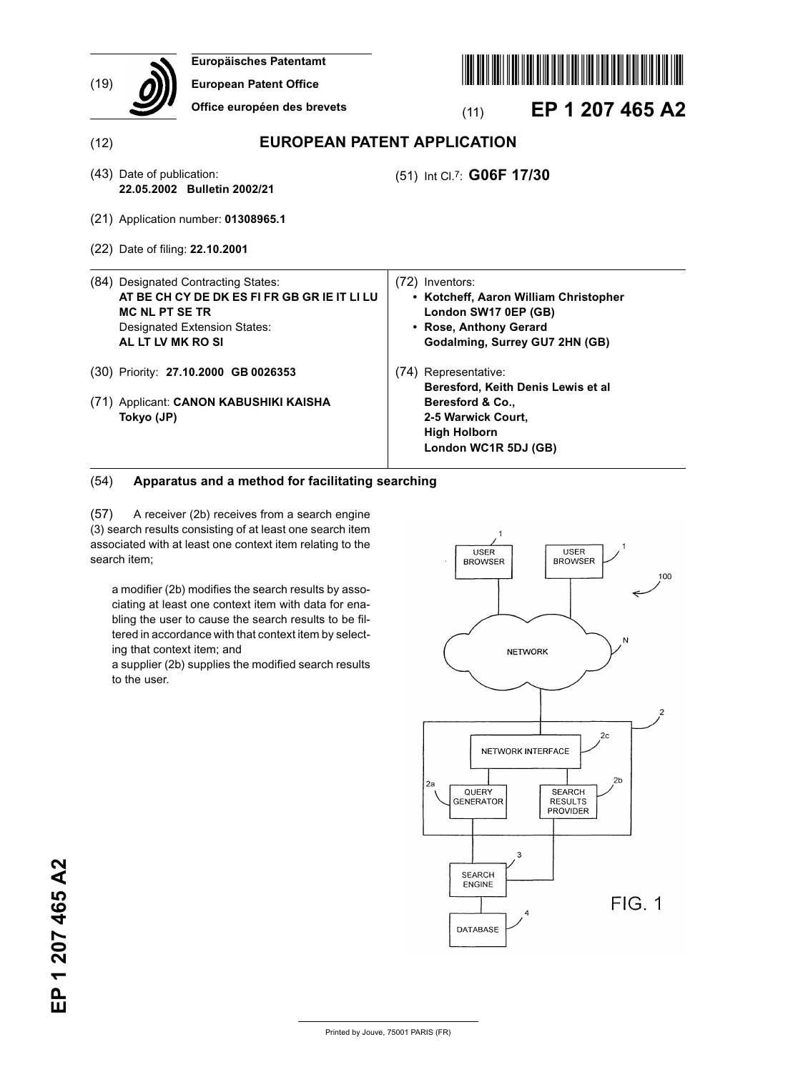| (19) | Europäisches Patentamt<br><b>European Patent Office</b><br>Office européen des brevets                                                                                   | EP 1 207 465 A2<br>(11)                                                                                                                           |
|------|--------------------------------------------------------------------------------------------------------------------------------------------------------------------------|---------------------------------------------------------------------------------------------------------------------------------------------------|
| (12) |                                                                                                                                                                          | <b>EUROPEAN PATENT APPLICATION</b>                                                                                                                |
|      | (43) Date of publication:<br>22.05.2002 Bulletin 2002/21                                                                                                                 | (51) Int Cl.7: G06F 17/30                                                                                                                         |
|      | (21) Application number: 01308965.1                                                                                                                                      |                                                                                                                                                   |
|      | (22) Date of filing: 22.10.2001                                                                                                                                          |                                                                                                                                                   |
|      | (84) Designated Contracting States:<br>AT BE CH CY DE DK ES FI FR GB GR IE IT LI LU<br><b>MC NL PT SE TR</b><br><b>Designated Extension States:</b><br>AL LT LV MK RO SI | (72) Inventors:<br>• Kotcheff, Aaron William Christopher<br>London SW17 0EP (GB)<br><b>Rose, Anthony Gerard</b><br>Godalming, Surrey GU7 2HN (GB) |
|      | (30) Priority: 27.10.2000 GB 0026353                                                                                                                                     | (74) Representative:<br>Beresford, Keith Denis Lewis et al                                                                                        |
|      | (71) Applicant: CANON KABUSHIKI KAISHA<br>Tokyo (JP)                                                                                                                     | Beresford & Co.,<br>2-5 Warwick Court,<br><b>High Holborn</b><br>London WC1R 5DJ (GB)                                                             |

### (54) **Apparatus and a method for facilitating searching**

(57) A receiver (2b) receives from a search engine (3) search results consisting of at least one search item associated with at least one context item relating to the search item;

a modifier (2b) modifies the search results by associating at least one context item with data for enabling the user to cause the search results to be filtered in accordance with that context item by selecting that context item; and

a supplier (2b) supplies the modified search results to the user.

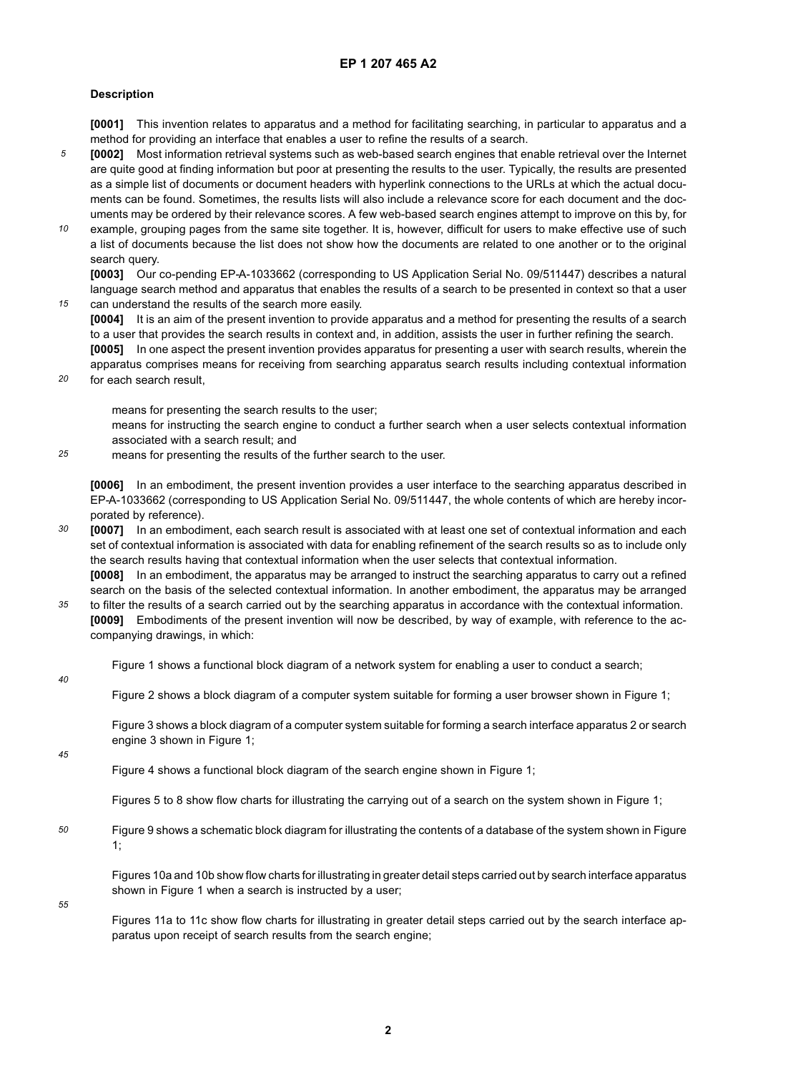#### **Description**

**[0001]** This invention relates to apparatus and a method for facilitating searching, in particular to apparatus and a method for providing an interface that enables a user to refine the results of a search.

- *5* **[0002]** Most information retrieval systems such as web-based search engines that enable retrieval over the Internet are quite good at finding information but poor at presenting the results to the user. Typically, the results are presented as a simple list of documents or document headers with hyperlink connections to the URLs at which the actual documents can be found. Sometimes, the results lists will also include a relevance score for each document and the documents may be ordered by their relevance scores. A few web-based search engines attempt to improve on this by, for
- *10* example, grouping pages from the same site together. It is, however, difficult for users to make effective use of such a list of documents because the list does not show how the documents are related to one another or to the original search query.

**[0003]** Our co-pending EP-A-1033662 (corresponding to US Application Serial No. 09/511447) describes a natural language search method and apparatus that enables the results of a search to be presented in context so that a user can understand the results of the search more easily.

- **[0004]** It is an aim of the present invention to provide apparatus and a method for presenting the results of a search to a user that provides the search results in context and, in addition, assists the user in further refining the search.
- **[0005]** In one aspect the present invention provides apparatus for presenting a user with search results, wherein the apparatus comprises means for receiving from searching apparatus search results including contextual information
- *20* for each search result,

means for presenting the search results to the user;

means for instructing the search engine to conduct a further search when a user selects contextual information associated with a search result; and

*25* means for presenting the results of the further search to the user.

**[0006]** In an embodiment, the present invention provides a user interface to the searching apparatus described in EP-A-1033662 (corresponding to US Application Serial No. 09/511447, the whole contents of which are hereby incorporated by reference).

*30* **[0007]** In an embodiment, each search result is associated with at least one set of contextual information and each set of contextual information is associated with data for enabling refinement of the search results so as to include only the search results having that contextual information when the user selects that contextual information. **[0008]** In an embodiment, the apparatus may be arranged to instruct the searching apparatus to carry out a refined

*35* search on the basis of the selected contextual information. In another embodiment, the apparatus may be arranged

- to filter the results of a search carried out by the searching apparatus in accordance with the contextual information. **[0009]** Embodiments of the present invention will now be described, by way of example, with reference to the accompanying drawings, in which:
	- Figure 1 shows a functional block diagram of a network system for enabling a user to conduct a search;
- *40*

*15*

Figure 2 shows a block diagram of a computer system suitable for forming a user browser shown in Figure 1;

Figure 3 shows a block diagram of a computer system suitable for forming a search interface apparatus 2 or search engine 3 shown in Figure 1;

#### *45*

Figure 4 shows a functional block diagram of the search engine shown in Figure 1;

Figures 5 to 8 show flow charts for illustrating the carrying out of a search on the system shown in Figure 1;

*50* Figure 9 shows a schematic block diagram for illustrating the contents of a database of the system shown in Figure 1;

Figures 10a and 10b show flow charts for illustrating in greater detail steps carried out by search interface apparatus shown in Figure 1 when a search is instructed by a user;

*55*

Figures 11a to 11c show flow charts for illustrating in greater detail steps carried out by the search interface apparatus upon receipt of search results from the search engine;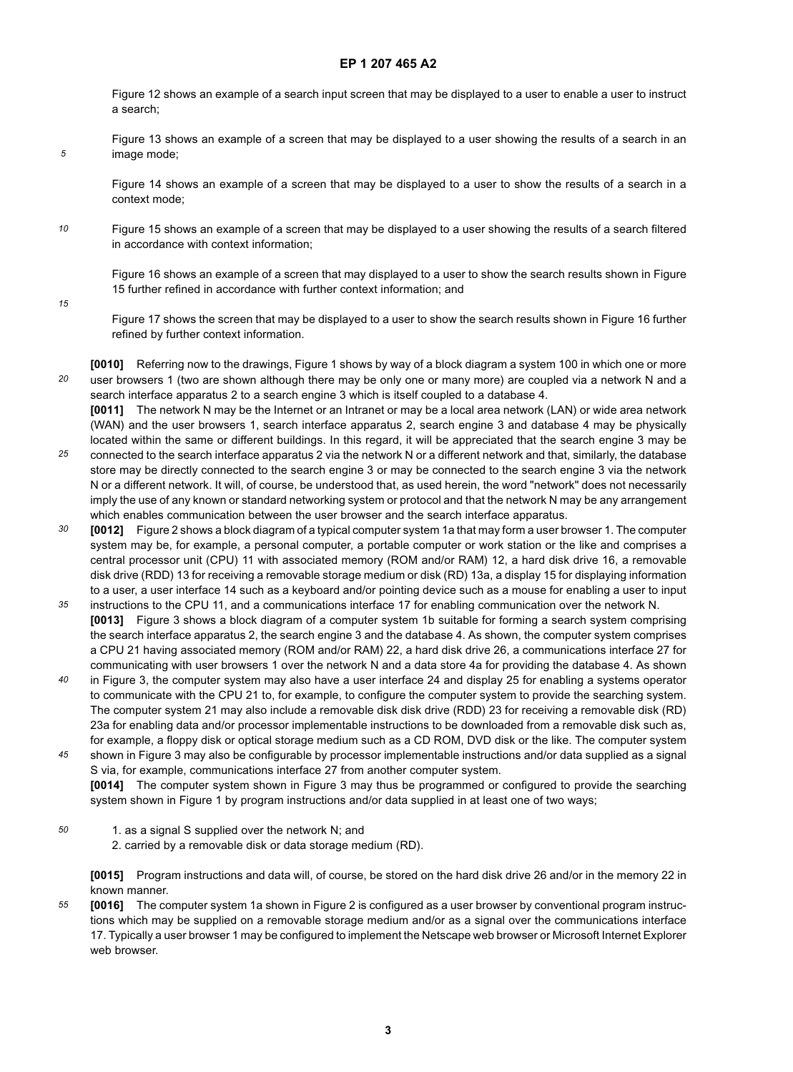Figure 12 shows an example of a search input screen that may be displayed to a user to enable a user to instruct a search;

Figure 13 shows an example of a screen that may be displayed to a user showing the results of a search in an image mode;

Figure 14 shows an example of a screen that may be displayed to a user to show the results of a search in a context mode;

*10* Figure 15 shows an example of a screen that may be displayed to a user showing the results of a search filtered in accordance with context information;

Figure 16 shows an example of a screen that may displayed to a user to show the search results shown in Figure 15 further refined in accordance with further context information; and

*15*

*5*

Figure 17 shows the screen that may be displayed to a user to show the search results shown in Figure 16 further refined by further context information.

*20* **[0010]** Referring now to the drawings, Figure 1 shows by way of a block diagram a system 100 in which one or more user browsers 1 (two are shown although there may be only one or many more) are coupled via a network N and a search interface apparatus 2 to a search engine 3 which is itself coupled to a database 4.

**[0011]** The network N may be the Internet or an Intranet or may be a local area network (LAN) or wide area network (WAN) and the user browsers 1, search interface apparatus 2, search engine 3 and database 4 may be physically located within the same or different buildings. In this regard, it will be appreciated that the search engine 3 may be

- *25* connected to the search interface apparatus 2 via the network N or a different network and that, similarly, the database store may be directly connected to the search engine 3 or may be connected to the search engine 3 via the network N or a different network. It will, of course, be understood that, as used herein, the word "network" does not necessarily imply the use of any known or standard networking system or protocol and that the network N may be any arrangement which enables communication between the user browser and the search interface apparatus.
- *30 35* **[0012]** Figure 2 shows a block diagram of a typical computer system 1a that may form a user browser 1. The computer system may be, for example, a personal computer, a portable computer or work station or the like and comprises a central processor unit (CPU) 11 with associated memory (ROM and/or RAM) 12, a hard disk drive 16, a removable disk drive (RDD) 13 for receiving a removable storage medium or disk (RD) 13a, a display 15 for displaying information to a user, a user interface 14 such as a keyboard and/or pointing device such as a mouse for enabling a user to input
- instructions to the CPU 11, and a communications interface 17 for enabling communication over the network N. **[0013]** Figure 3 shows a block diagram of a computer system 1b suitable for forming a search system comprising the search interface apparatus 2, the search engine 3 and the database 4. As shown, the computer system comprises a CPU 21 having associated memory (ROM and/or RAM) 22, a hard disk drive 26, a communications interface 27 for communicating with user browsers 1 over the network N and a data store 4a for providing the database 4. As shown
- *40* in Figure 3, the computer system may also have a user interface 24 and display 25 for enabling a systems operator to communicate with the CPU 21 to, for example, to configure the computer system to provide the searching system. The computer system 21 may also include a removable disk disk drive (RDD) 23 for receiving a removable disk (RD) 23a for enabling data and/or processor implementable instructions to be downloaded from a removable disk such as, for example, a floppy disk or optical storage medium such as a CD ROM, DVD disk or the like. The computer system
- *45* shown in Figure 3 may also be configurable by processor implementable instructions and/or data supplied as a signal S via, for example, communications interface 27 from another computer system. **[0014]** The computer system shown in Figure 3 may thus be programmed or configured to provide the searching
	- system shown in Figure 1 by program instructions and/or data supplied in at least one of two ways;
- *50* 1. as a signal S supplied over the network N; and
	- 2. carried by a removable disk or data storage medium (RD).

**[0015]** Program instructions and data will, of course, be stored on the hard disk drive 26 and/or in the memory 22 in known manner.

*55* **[0016]** The computer system 1a shown in Figure 2 is configured as a user browser by conventional program instructions which may be supplied on a removable storage medium and/or as a signal over the communications interface 17. Typically a user browser 1 may be configured to implement the Netscape web browser or Microsoft Internet Explorer web browser.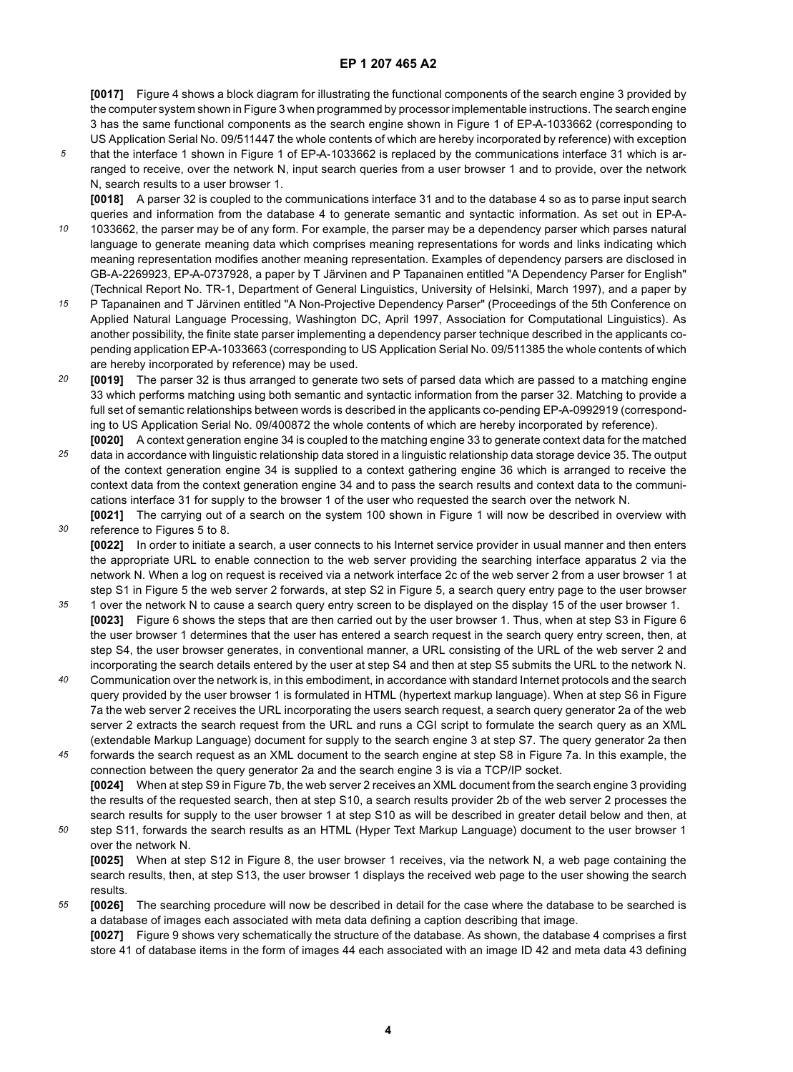**[0017]** Figure 4 shows a block diagram for illustrating the functional components of the search engine 3 provided by the computer system shown in Figure 3 when programmed by processor implementable instructions. The search engine 3 has the same functional components as the search engine shown in Figure 1 of EP-A-1033662 (corresponding to US Application Serial No. 09/511447 the whole contents of which are hereby incorporated by reference) with exception

*5* that the interface 1 shown in Figure 1 of EP-A-1033662 is replaced by the communications interface 31 which is arranged to receive, over the network N, input search queries from a user browser 1 and to provide, over the network N, search results to a user browser 1.

**[0018]** A parser 32 is coupled to the communications interface 31 and to the database 4 so as to parse input search queries and information from the database 4 to generate semantic and syntactic information. As set out in EP-A-

- *10* 1033662, the parser may be of any form. For example, the parser may be a dependency parser which parses natural language to generate meaning data which comprises meaning representations for words and links indicating which meaning representation modifies another meaning representation. Examples of dependency parsers are disclosed in GB-A-2269923, EP-A-0737928, a paper by T Järvinen and P Tapanainen entitled "A Dependency Parser for English" (Technical Report No. TR-1, Department of General Linguistics, University of Helsinki, March 1997), and a paper by
- *15* P Tapanainen and T Järvinen entitled "A Non-Projective Dependency Parser" (Proceedings of the 5th Conference on Applied Natural Language Processing, Washington DC, April 1997, Association for Computational Linguistics). As another possibility, the finite state parser implementing a dependency parser technique described in the applicants copending application EP-A-1033663 (corresponding to US Application Serial No. 09/511385 the whole contents of which are hereby incorporated by reference) may be used.
- *20* **[0019]** The parser 32 is thus arranged to generate two sets of parsed data which are passed to a matching engine 33 which performs matching using both semantic and syntactic information from the parser 32. Matching to provide a full set of semantic relationships between words is described in the applicants co-pending EP-A-0992919 (corresponding to US Application Serial No. 09/400872 the whole contents of which are hereby incorporated by reference). **[0020]** A context generation engine 34 is coupled to the matching engine 33 to generate context data for the matched
- *25* data in accordance with linguistic relationship data stored in a linguistic relationship data storage device 35. The output of the context generation engine 34 is supplied to a context gathering engine 36 which is arranged to receive the context data from the context generation engine 34 and to pass the search results and context data to the communications interface 31 for supply to the browser 1 of the user who requested the search over the network N.
- *30* **[0021]** The carrying out of a search on the system 100 shown in Figure 1 will now be described in overview with reference to Figures 5 to 8.

**[0022]** In order to initiate a search, a user connects to his Internet service provider in usual manner and then enters the appropriate URL to enable connection to the web server providing the searching interface apparatus 2 via the network N. When a log on request is received via a network interface 2c of the web server 2 from a user browser 1 at step S1 in Figure 5 the web server 2 forwards, at step S2 in Figure 5, a search query entry page to the user browser

- *35* 1 over the network N to cause a search query entry screen to be displayed on the display 15 of the user browser 1. **[0023]** Figure 6 shows the steps that are then carried out by the user browser 1. Thus, when at step S3 in Figure 6 the user browser 1 determines that the user has entered a search request in the search query entry screen, then, at step S4, the user browser generates, in conventional manner, a URL consisting of the URL of the web server 2 and incorporating the search details entered by the user at step S4 and then at step S5 submits the URL to the network N.
- *40* Communication over the network is, in this embodiment, in accordance with standard Internet protocols and the search query provided by the user browser 1 is formulated in HTML (hypertext markup language). When at step S6 in Figure 7a the web server 2 receives the URL incorporating the users search request, a search query generator 2a of the web server 2 extracts the search request from the URL and runs a CGI script to formulate the search query as an XML (extendable Markup Language) document for supply to the search engine 3 at step S7. The query generator 2a then
- *45* forwards the search request as an XML document to the search engine at step S8 in Figure 7a. In this example, the connection between the query generator 2a and the search engine 3 is via a TCP/IP socket. **[0024]** When at step S9 in Figure 7b, the web server 2 receives an XML document from the search engine 3 providing the results of the requested search, then at step S10, a search results provider 2b of the web server 2 processes the search results for supply to the user browser 1 at step S10 as will be described in greater detail below and then, at
- *50* step S11, forwards the search results as an HTML (Hyper Text Markup Language) document to the user browser 1 over the network N.

**[0025]** When at step S12 in Figure 8, the user browser 1 receives, via the network N, a web page containing the search results, then, at step S13, the user browser 1 displays the received web page to the user showing the search results.

*55* **[0026]** The searching procedure will now be described in detail for the case where the database to be searched is a database of images each associated with meta data defining a caption describing that image.

**[0027]** Figure 9 shows very schematically the structure of the database. As shown, the database 4 comprises a first store 41 of database items in the form of images 44 each associated with an image ID 42 and meta data 43 defining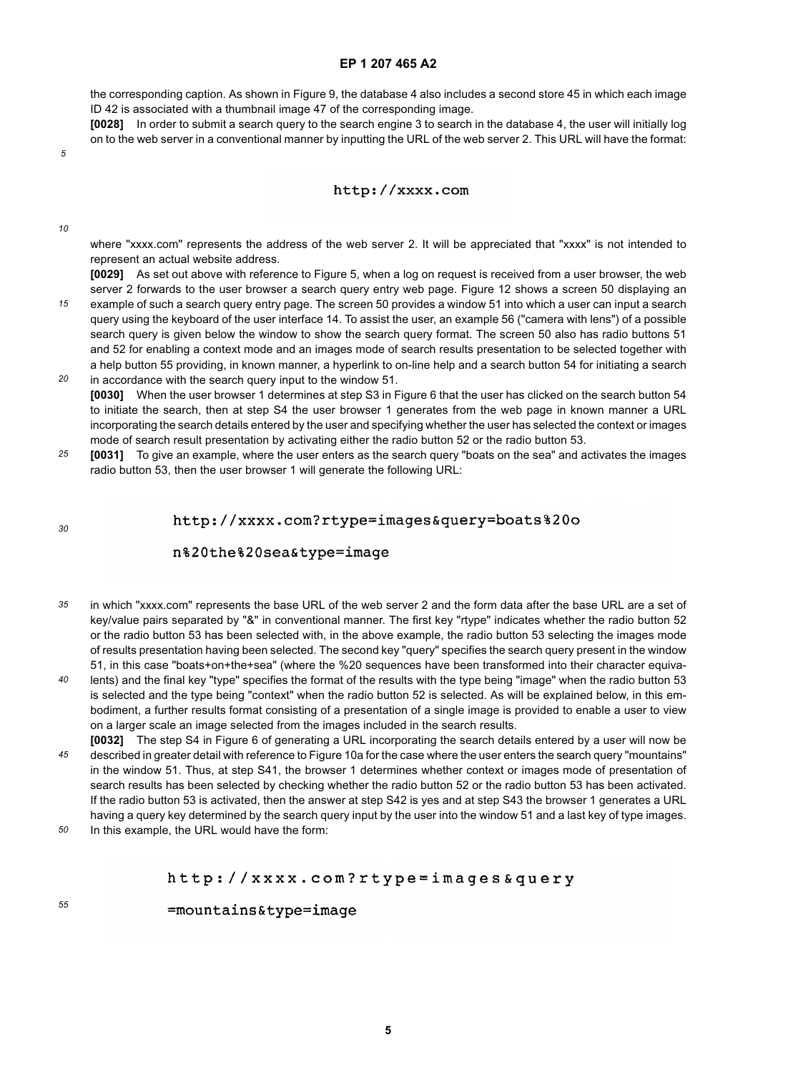the corresponding caption. As shown in Figure 9, the database 4 also includes a second store 45 in which each image ID 42 is associated with a thumbnail image 47 of the corresponding image.

**[0028]** In order to submit a search query to the search engine 3 to search in the database 4, the user will initially log on to the web server in a conventional manner by inputting the URL of the web server 2. This URL will have the format:

*5*

#### http://xxxx.com

*10*

where "xxxx.com" represents the address of the web server 2. It will be appreciated that "xxxx" is not intended to represent an actual website address.

**[0029]** As set out above with reference to Figure 5, when a log on request is received from a user browser, the web server 2 forwards to the user browser a search query entry web page. Figure 12 shows a screen 50 displaying an

- *15* example of such a search query entry page. The screen 50 provides a window 51 into which a user can input a search query using the keyboard of the user interface 14. To assist the user, an example 56 ("camera with lens") of a possible search query is given below the window to show the search query format. The screen 50 also has radio buttons 51 and 52 for enabling a context mode and an images mode of search results presentation to be selected together with a help button 55 providing, in known manner, a hyperlink to on-line help and a search button 54 for initiating a search
- *20* in accordance with the search query input to the window 51. **[0030]** When the user browser 1 determines at step S3 in Figure 6 that the user has clicked on the search button 54 to initiate the search, then at step S4 the user browser 1 generates from the web page in known manner a URL incorporating the search details entered by the user and specifying whether the user has selected the context or images mode of search result presentation by activating either the radio button 52 or the radio button 53.
- *25* **[0031]** To give an example, where the user enters as the search query "boats on the sea" and activates the images radio button 53, then the user browser 1 will generate the following URL:

*30*

*55*

http://xxxx.com?rtype=images&query=boats%20o

#### n%20the%20sea&type=image

- *35* in which "xxxx.com" represents the base URL of the web server 2 and the form data after the base URL are a set of key/value pairs separated by "&" in conventional manner. The first key "rtype" indicates whether the radio button 52 or the radio button 53 has been selected with, in the above example, the radio button 53 selecting the images mode of results presentation having been selected. The second key "query" specifies the search query present in the window 51, in this case "boats+on+the+sea" (where the %20 sequences have been transformed into their character equiva-
- *40* lents) and the final key "type" specifies the format of the results with the type being "image" when the radio button 53 is selected and the type being "context" when the radio button 52 is selected. As will be explained below, in this embodiment, a further results format consisting of a presentation of a single image is provided to enable a user to view on a larger scale an image selected from the images included in the search results.
- *45* **[0032]** The step S4 in Figure 6 of generating a URL incorporating the search details entered by a user will now be described in greater detail with reference to Figure 10a for the case where the user enters the search query "mountains" in the window 51. Thus, at step S41, the browser 1 determines whether context or images mode of presentation of search results has been selected by checking whether the radio button 52 or the radio button 53 has been activated. If the radio button 53 is activated, then the answer at step S42 is yes and at step S43 the browser 1 generates a URL having a query key determined by the search query input by the user into the window 51 and a last key of type images.
- *50* In this example, the URL would have the form:

#### http://xxxx.com?rtype=images&query

=mountains&type=image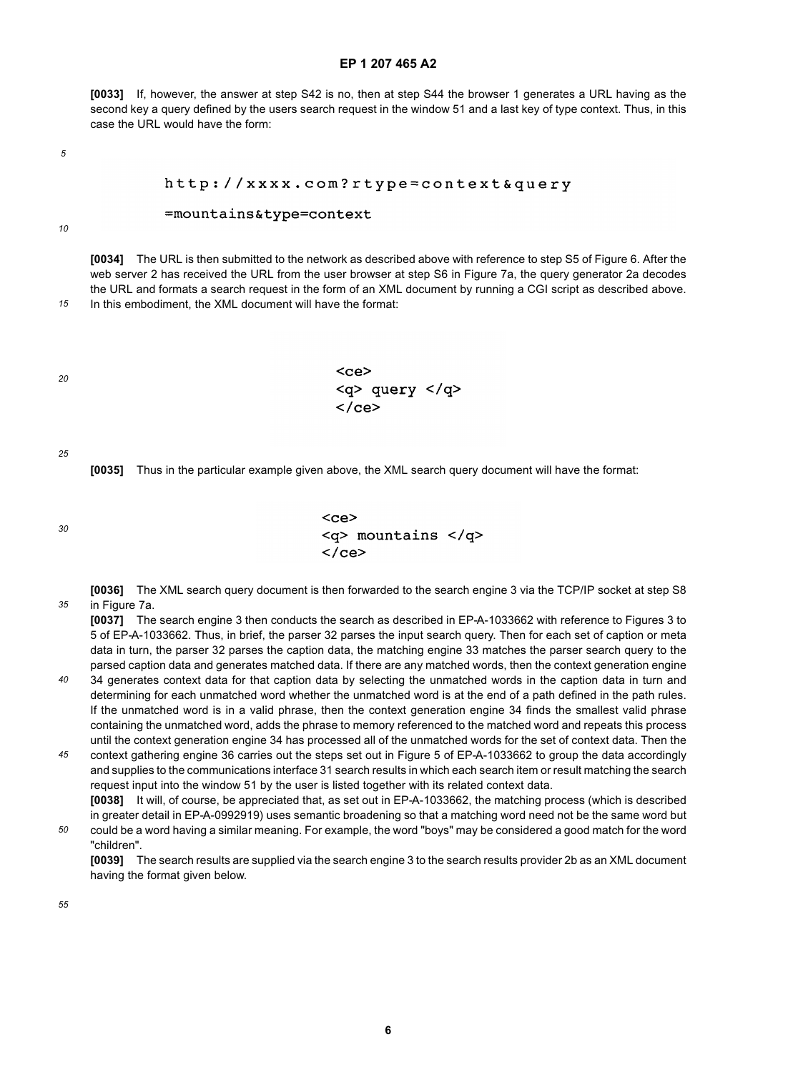**[0033]** If, however, the answer at step S42 is no, then at step S44 the browser 1 generates a URL having as the second key a query defined by the users search request in the window 51 and a last key of type context. Thus, in this case the URL would have the form:

*5*

#### http://xxxx.com?rtype=context&query

#### =mountains&type=context

*10*

**[0034]** The URL is then submitted to the network as described above with reference to step S5 of Figure 6. After the web server 2 has received the URL from the user browser at step S6 in Figure 7a, the query generator 2a decodes the URL and formats a search request in the form of an XML document by running a CGI script as described above.

*15* In this embodiment, the XML document will have the format:

| <ce></ce> |                      |  |
|-----------|----------------------|--|
|           | $<$ g> query $<$ /g> |  |
|           |                      |  |

*25*

*30*

*20*

**[0035]** Thus in the particular example given above, the XML search query document will have the format:

 $<$ ce> <q> mountains </q>  $\langle$ /ce>

*35* **[0036]** The XML search query document is then forwarded to the search engine 3 via the TCP/IP socket at step S8 in Figure 7a.

**[0037]** The search engine 3 then conducts the search as described in EP-A-1033662 with reference to Figures 3 to 5 of EP-A-1033662. Thus, in brief, the parser 32 parses the input search query. Then for each set of caption or meta data in turn, the parser 32 parses the caption data, the matching engine 33 matches the parser search query to the parsed caption data and generates matched data. If there are any matched words, then the context generation engine

- *40* 34 generates context data for that caption data by selecting the unmatched words in the caption data in turn and determining for each unmatched word whether the unmatched word is at the end of a path defined in the path rules. If the unmatched word is in a valid phrase, then the context generation engine 34 finds the smallest valid phrase containing the unmatched word, adds the phrase to memory referenced to the matched word and repeats this process until the context generation engine 34 has processed all of the unmatched words for the set of context data. Then the
- *45* context gathering engine 36 carries out the steps set out in Figure 5 of EP-A-1033662 to group the data accordingly and supplies to the communications interface 31 search results in which each search item or result matching the search request input into the window 51 by the user is listed together with its related context data. **[0038]** It will, of course, be appreciated that, as set out in EP-A-1033662, the matching process (which is described

*50* in greater detail in EP-A-0992919) uses semantic broadening so that a matching word need not be the same word but could be a word having a similar meaning. For example, the word "boys" may be considered a good match for the word "children".

**[0039]** The search results are supplied via the search engine 3 to the search results provider 2b as an XML document having the format given below.

*55*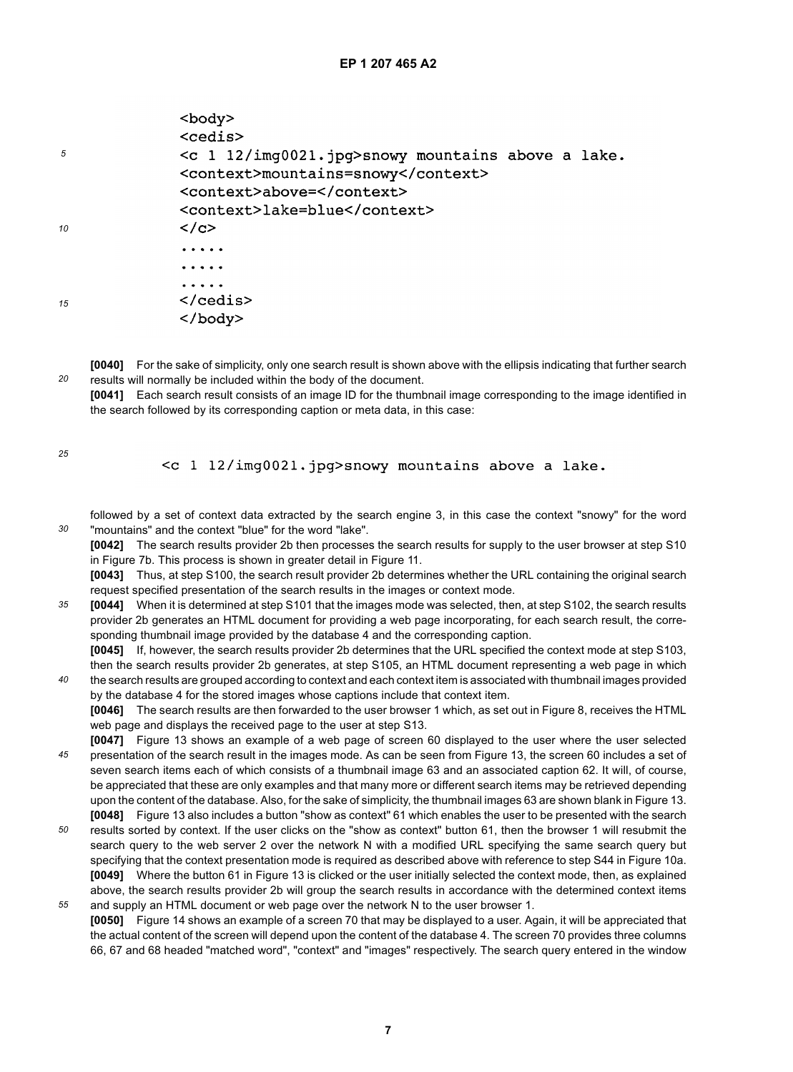|    | $<$ body $>$                                            |
|----|---------------------------------------------------------|
|    | <cedis></cedis>                                         |
| 5  | $\leq c$ 1 12/img0021.jpg>snowy mountains above a lake. |
|    | <context>mountains=snowy</context>                      |
|    | <context>above=</context>                               |
|    | <context>lake=blue</context>                            |
| 10 | $\langle$ /c>                                           |
|    |                                                         |
|    |                                                         |
|    | .                                                       |
| 15 | $\langle$ /cedis $\rangle$                              |
|    |                                                         |
|    |                                                         |

**[0040]** For the sake of simplicity, only one search result is shown above with the ellipsis indicating that further search results will normally be included within the body of the document.

**[0041]** Each search result consists of an image ID for the thumbnail image corresponding to the image identified in the search followed by its corresponding caption or meta data, in this case:

*25*

*20*

<c 1 12/img0021.jpg>snowy mountains above a lake.

- *30* followed by a set of context data extracted by the search engine 3, in this case the context "snowy" for the word "mountains" and the context "blue" for the word "lake".
	- **[0042]** The search results provider 2b then processes the search results for supply to the user browser at step S10 in Figure 7b. This process is shown in greater detail in Figure 11.

**[0043]** Thus, at step S100, the search result provider 2b determines whether the URL containing the original search request specified presentation of the search results in the images or context mode.

*35* **[0044]** When it is determined at step S101 that the images mode was selected, then, at step S102, the search results provider 2b generates an HTML document for providing a web page incorporating, for each search result, the corresponding thumbnail image provided by the database 4 and the corresponding caption.

*40* **[0045]** If, however, the search results provider 2b determines that the URL specified the context mode at step S103, then the search results provider 2b generates, at step S105, an HTML document representing a web page in which the search results are grouped according to context and each context item is associated with thumbnail images provided by the database 4 for the stored images whose captions include that context item.

**[0046]** The search results are then forwarded to the user browser 1 which, as set out in Figure 8, receives the HTML web page and displays the received page to the user at step S13.

- *45* **[0047]** Figure 13 shows an example of a web page of screen 60 displayed to the user where the user selected presentation of the search result in the images mode. As can be seen from Figure 13, the screen 60 includes a set of seven search items each of which consists of a thumbnail image 63 and an associated caption 62. It will, of course, be appreciated that these are only examples and that many more or different search items may be retrieved depending upon the content of the database. Also, for the sake of simplicity, the thumbnail images 63 are shown blank in Figure 13. **[0048]** Figure 13 also includes a button "show as context" 61 which enables the user to be presented with the search
- *50 55* results sorted by context. If the user clicks on the "show as context" button 61, then the browser 1 will resubmit the search query to the web server 2 over the network N with a modified URL specifying the same search query but specifying that the context presentation mode is required as described above with reference to step S44 in Figure 10a. **[0049]** Where the button 61 in Figure 13 is clicked or the user initially selected the context mode, then, as explained above, the search results provider 2b will group the search results in accordance with the determined context items
- and supply an HTML document or web page over the network N to the user browser 1. **[0050]** Figure 14 shows an example of a screen 70 that may be displayed to a user. Again, it will be appreciated that the actual content of the screen will depend upon the content of the database 4. The screen 70 provides three columns 66, 67 and 68 headed "matched word", "context" and "images" respectively. The search query entered in the window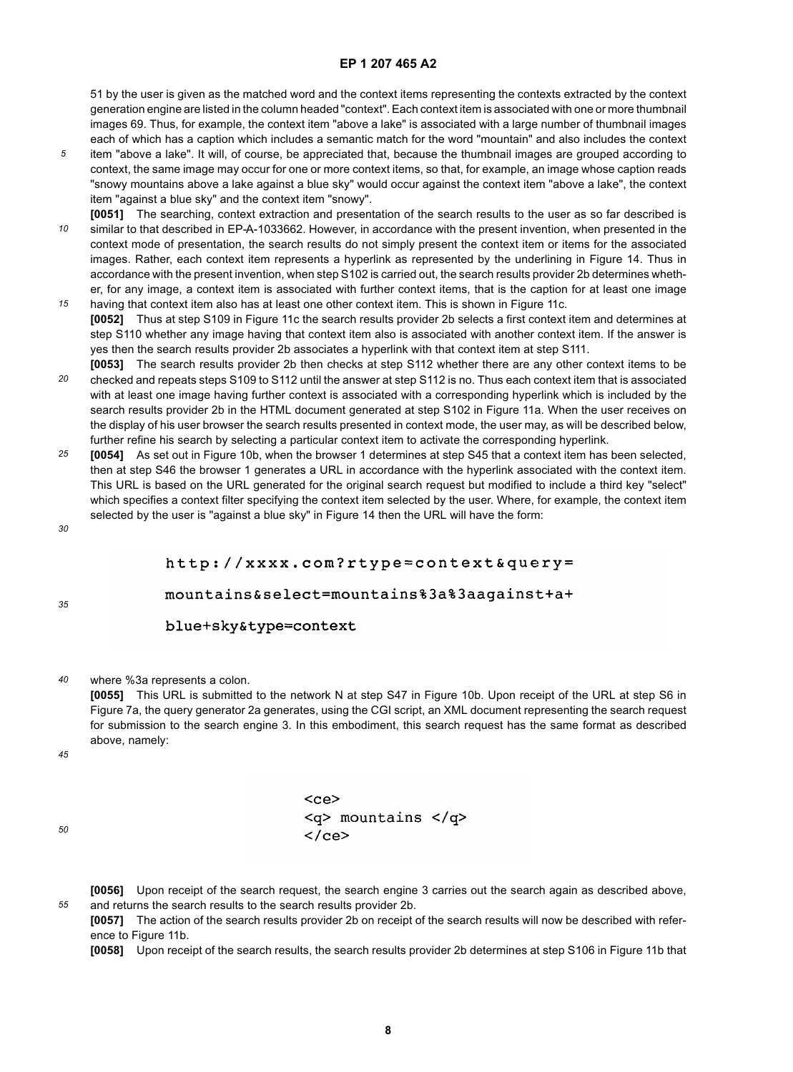51 by the user is given as the matched word and the context items representing the contexts extracted by the context generation engine are listed in the column headed "context". Each context item is associated with one or more thumbnail images 69. Thus, for example, the context item "above a lake" is associated with a large number of thumbnail images each of which has a caption which includes a semantic match for the word "mountain" and also includes the context

- *5* item "above a lake". It will, of course, be appreciated that, because the thumbnail images are grouped according to context, the same image may occur for one or more context items, so that, for example, an image whose caption reads "snowy mountains above a lake against a blue sky" would occur against the context item "above a lake", the context item "against a blue sky" and the context item "snowy".
- *10 15* **[0051]** The searching, context extraction and presentation of the search results to the user as so far described is similar to that described in EP-A-1033662. However, in accordance with the present invention, when presented in the context mode of presentation, the search results do not simply present the context item or items for the associated images. Rather, each context item represents a hyperlink as represented by the underlining in Figure 14. Thus in accordance with the present invention, when step S102 is carried out, the search results provider 2b determines whether, for any image, a context item is associated with further context items, that is the caption for at least one image having that context item also has at least one other context item. This is shown in Figure 11c.
- **[0052]** Thus at step S109 in Figure 11c the search results provider 2b selects a first context item and determines at step S110 whether any image having that context item also is associated with another context item. If the answer is yes then the search results provider 2b associates a hyperlink with that context item at step S111.
- *20* **[0053]** The search results provider 2b then checks at step S112 whether there are any other context items to be checked and repeats steps S109 to S112 until the answer at step S112 is no. Thus each context item that is associated with at least one image having further context is associated with a corresponding hyperlink which is included by the search results provider 2b in the HTML document generated at step S102 in Figure 11a. When the user receives on the display of his user browser the search results presented in context mode, the user may, as will be described below, further refine his search by selecting a particular context item to activate the corresponding hyperlink.
- *25* **[0054]** As set out in Figure 10b, when the browser 1 determines at step S45 that a context item has been selected, then at step S46 the browser 1 generates a URL in accordance with the hyperlink associated with the context item. This URL is based on the URL generated for the original search request but modified to include a third key "select" which specifies a context filter specifying the context item selected by the user. Where, for example, the context item selected by the user is "against a blue sky" in Figure 14 then the URL will have the form:

*30*

*35*

## http://xxxx.com?rtype=context&query=

mountains&select=mountains%3a%3aagainst+a+

#### blue+sky&type=context

*40* where %3a represents a colon.

> **[0055]** This URL is submitted to the network N at step S47 in Figure 10b. Upon receipt of the URL at step S6 in Figure 7a, the query generator 2a generates, using the CGI script, an XML document representing the search request for submission to the search engine 3. In this embodiment, this search request has the same format as described above, namely:

*45*

*50*

*55*

| $<$ ce $>$              |                          |  |
|-------------------------|--------------------------|--|
|                         | $<$ q> mountains $<$ /q> |  |
| $\langle$ /ce $\rangle$ |                          |  |

**[0056]** Upon receipt of the search request, the search engine 3 carries out the search again as described above, and returns the search results to the search results provider 2b.

**[0057]** The action of the search results provider 2b on receipt of the search results will now be described with reference to Figure 11b.

**[0058]** Upon receipt of the search results, the search results provider 2b determines at step S106 in Figure 11b that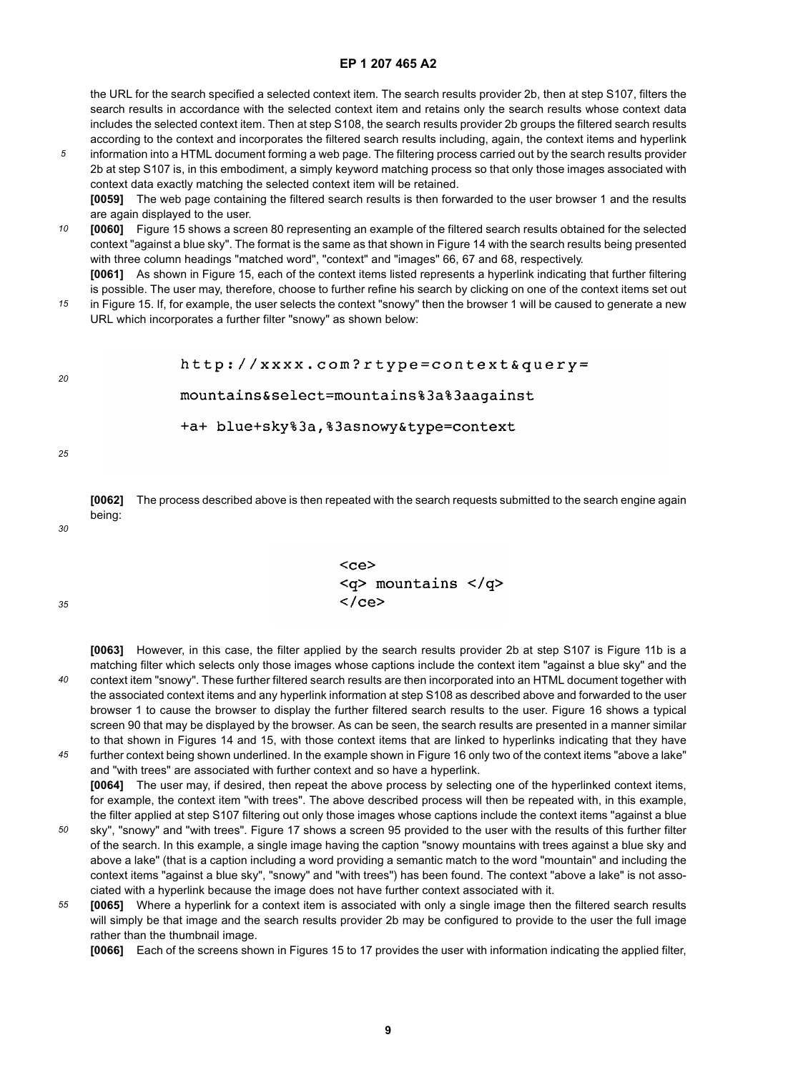the URL for the search specified a selected context item. The search results provider 2b, then at step S107, filters the search results in accordance with the selected context item and retains only the search results whose context data includes the selected context item. Then at step S108, the search results provider 2b groups the filtered search results according to the context and incorporates the filtered search results including, again, the context items and hyperlink

*5* information into a HTML document forming a web page. The filtering process carried out by the search results provider 2b at step S107 is, in this embodiment, a simply keyword matching process so that only those images associated with context data exactly matching the selected context item will be retained.

**[0059]** The web page containing the filtered search results is then forwarded to the user browser 1 and the results are again displayed to the user.

- *10* **[0060]** Figure 15 shows a screen 80 representing an example of the filtered search results obtained for the selected context "against a blue sky". The format is the same as that shown in Figure 14 with the search results being presented with three column headings "matched word", "context" and "images" 66, 67 and 68, respectively. **[0061]** As shown in Figure 15, each of the context items listed represents a hyperlink indicating that further filtering
- *15* is possible. The user may, therefore, choose to further refine his search by clicking on one of the context items set out in Figure 15. If, for example, the user selects the context "snowy" then the browser 1 will be caused to generate a new URL which incorporates a further filter "snowy" as shown below:

#### http://xxxx.com?rtype=context&query=

#### mountains&select=mountains%3a%3aagainst

+a+ blue+sky%3a,%3asnowy&type=context

*25*

*20*

**[0062]** The process described above is then repeated with the search requests submitted to the search engine again being:

*30*

*35*

| <ce></ce>                |  |
|--------------------------|--|
| $<$ q> mountains $<$ /q> |  |
| $\langle$ /ce $\rangle$  |  |

*40* **[0063]** However, in this case, the filter applied by the search results provider 2b at step S107 is Figure 11b is a matching filter which selects only those images whose captions include the context item "against a blue sky" and the context item "snowy". These further filtered search results are then incorporated into an HTML document together with the associated context items and any hyperlink information at step S108 as described above and forwarded to the user browser 1 to cause the browser to display the further filtered search results to the user. Figure 16 shows a typical screen 90 that may be displayed by the browser. As can be seen, the search results are presented in a manner similar to that shown in Figures 14 and 15, with those context items that are linked to hyperlinks indicating that they have

*45* further context being shown underlined. In the example shown in Figure 16 only two of the context items "above a lake" and "with trees" are associated with further context and so have a hyperlink. **[0064]** The user may, if desired, then repeat the above process by selecting one of the hyperlinked context items, for example, the context item "with trees". The above described process will then be repeated with, in this example, the filter applied at step S107 filtering out only those images whose captions include the context items "against a blue

- *50* sky", "snowy" and "with trees". Figure 17 shows a screen 95 provided to the user with the results of this further filter of the search. In this example, a single image having the caption "snowy mountains with trees against a blue sky and above a lake" (that is a caption including a word providing a semantic match to the word "mountain" and including the context items "against a blue sky", "snowy" and "with trees") has been found. The context "above a lake" is not associated with a hyperlink because the image does not have further context associated with it.
- *55* **[0065]** Where a hyperlink for a context item is associated with only a single image then the filtered search results will simply be that image and the search results provider 2b may be configured to provide to the user the full image rather than the thumbnail image.

**[0066]** Each of the screens shown in Figures 15 to 17 provides the user with information indicating the applied filter,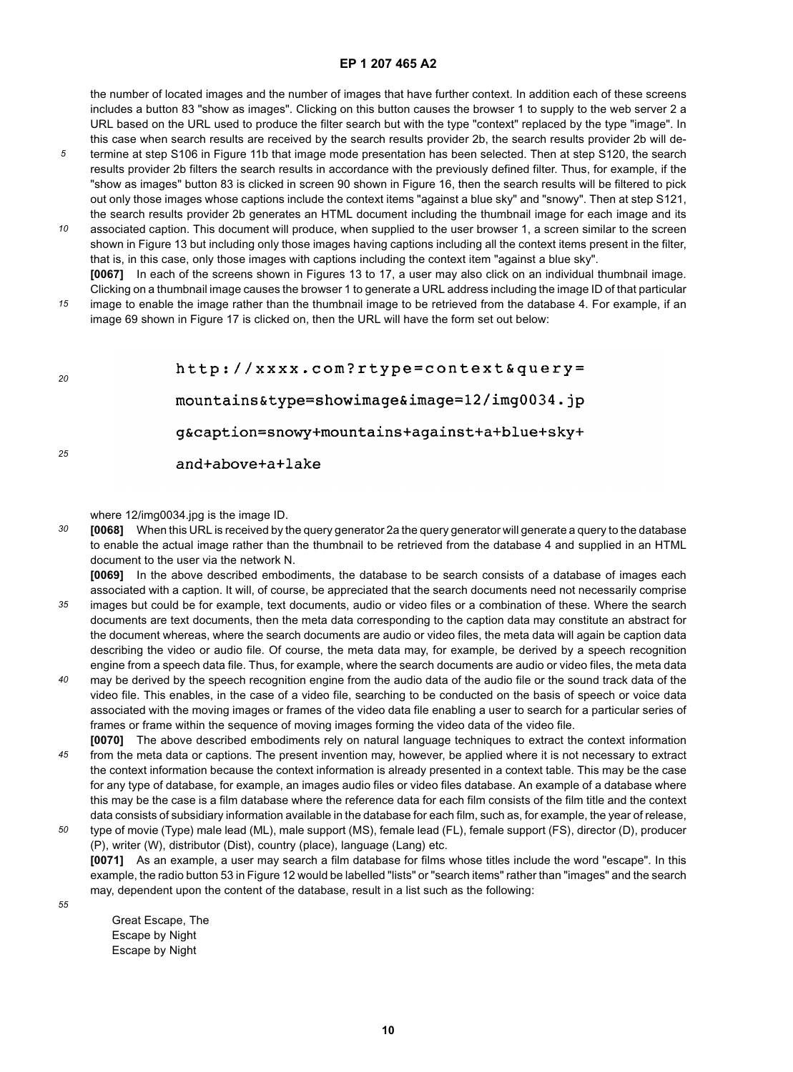the number of located images and the number of images that have further context. In addition each of these screens includes a button 83 "show as images". Clicking on this button causes the browser 1 to supply to the web server 2 a URL based on the URL used to produce the filter search but with the type "context" replaced by the type "image". In this case when search results are received by the search results provider 2b, the search results provider 2b will de-

- *5* termine at step S106 in Figure 11b that image mode presentation has been selected. Then at step S120, the search results provider 2b filters the search results in accordance with the previously defined filter. Thus, for example, if the "show as images" button 83 is clicked in screen 90 shown in Figure 16, then the search results will be filtered to pick out only those images whose captions include the context items "against a blue sky" and "snowy". Then at step S121, the search results provider 2b generates an HTML document including the thumbnail image for each image and its
- *10* associated caption. This document will produce, when supplied to the user browser 1, a screen similar to the screen shown in Figure 13 but including only those images having captions including all the context items present in the filter, that is, in this case, only those images with captions including the context item "against a blue sky". **[0067]** In each of the screens shown in Figures 13 to 17, a user may also click on an individual thumbnail image.
- *15* Clicking on a thumbnail image causes the browser 1 to generate a URL address including the image ID of that particular image to enable the image rather than the thumbnail image to be retrieved from the database 4. For example, if an image 69 shown in Figure 17 is clicked on, then the URL will have the form set out below:

| -20 | http://xxxx.com?rtype=context&query=          |
|-----|-----------------------------------------------|
|     | mountains&type=showimageℑ=12/img0034.jp       |
|     | q&caption=snowy+mountains+aqainst+a+blue+sky+ |
| 25  | and+above+a+lake                              |

where 12/img0034.jpg is the image ID.

*30* **[0068]** When this URL is received by the query generator 2a the query generator will generate a query to the database to enable the actual image rather than the thumbnail to be retrieved from the database 4 and supplied in an HTML document to the user via the network N.

**[0069]** In the above described embodiments, the database to be search consists of a database of images each associated with a caption. It will, of course, be appreciated that the search documents need not necessarily comprise

- *35* images but could be for example, text documents, audio or video files or a combination of these. Where the search documents are text documents, then the meta data corresponding to the caption data may constitute an abstract for the document whereas, where the search documents are audio or video files, the meta data will again be caption data describing the video or audio file. Of course, the meta data may, for example, be derived by a speech recognition engine from a speech data file. Thus, for example, where the search documents are audio or video files, the meta data
- *40* may be derived by the speech recognition engine from the audio data of the audio file or the sound track data of the video file. This enables, in the case of a video file, searching to be conducted on the basis of speech or voice data associated with the moving images or frames of the video data file enabling a user to search for a particular series of frames or frame within the sequence of moving images forming the video data of the video file. **[0070]** The above described embodiments rely on natural language techniques to extract the context information
- *45* from the meta data or captions. The present invention may, however, be applied where it is not necessary to extract the context information because the context information is already presented in a context table. This may be the case for any type of database, for example, an images audio files or video files database. An example of a database where this may be the case is a film database where the reference data for each film consists of the film title and the context data consists of subsidiary information available in the database for each film, such as, for example, the year of release,
- *50* type of movie (Type) male lead (ML), male support (MS), female lead (FL), female support (FS), director (D), producer (P), writer (W), distributor (Dist), country (place), language (Lang) etc. **[0071]** As an example, a user may search a film database for films whose titles include the word "escape". In this example, the radio button 53 in Figure 12 would be labelled "lists" or "search items" rather than "images" and the search may, dependent upon the content of the database, result in a list such as the following:

*55*

Great Escape, The Escape by Night Escape by Night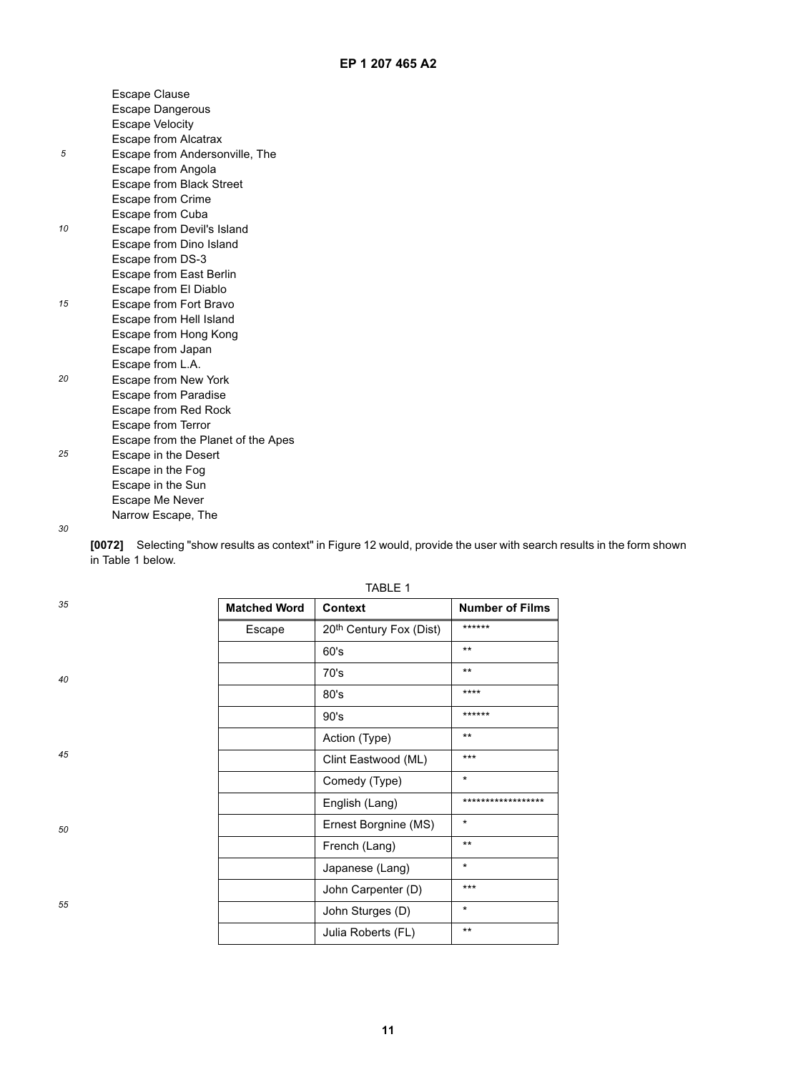|    | Escape Clause                      |
|----|------------------------------------|
|    | <b>Escape Dangerous</b>            |
|    | <b>Escape Velocity</b>             |
|    | Escape from Alcatrax               |
| 5  | Escape from Andersonville, The     |
|    | Escape from Angola                 |
|    | Escape from Black Street           |
|    | <b>Escape from Crime</b>           |
|    | Escape from Cuba                   |
| 10 | Escape from Devil's Island         |
|    | Escape from Dino Island            |
|    | Escape from DS-3                   |
|    | Escape from East Berlin            |
|    | Escape from El Diablo              |
| 15 | Escape from Fort Bravo             |
|    | Escape from Hell Island            |
|    | Escape from Hong Kong              |
|    | Escape from Japan                  |
|    | Escape from L.A.                   |
| 20 | Escape from New York               |
|    | <b>Escape from Paradise</b>        |
|    | Escape from Red Rock               |
|    | Escape from Terror                 |
|    | Escape from the Planet of the Apes |
| 25 | Escape in the Desert               |
|    | Escape in the Fog                  |
|    | Escape in the Sun                  |
|    | <b>Escape Me Never</b>             |
|    | Narrow Escape, The                 |
|    |                                    |

*30*

*35*

*40*

*45*

*50*

*55*

**[0072]** Selecting "show results as context" in Figure 12 would, provide the user with search results in the form shown in Table 1 below.

| <b>Matched Word</b> | <b>Context</b>                      | <b>Number of Films</b> |
|---------------------|-------------------------------------|------------------------|
| Escape              | 20 <sup>th</sup> Century Fox (Dist) | ******                 |
|                     | 60's                                | $***$                  |
|                     | 70's                                | $***$                  |
|                     | 80's                                | ****                   |
|                     | 90's                                | ******                 |
|                     | Action (Type)                       | $***$                  |
|                     | Clint Eastwood (ML)                 | $***$                  |
|                     | Comedy (Type)                       | $\star$                |
|                     | English (Lang)                      | ******************     |
|                     | Ernest Borgnine (MS)                | $\star$                |
|                     | French (Lang)                       | $***$                  |
|                     | Japanese (Lang)                     | *                      |
|                     | John Carpenter (D)                  | ***                    |
|                     | John Sturges (D)                    | $^\star$               |
|                     | Julia Roberts (FL)                  | $***$                  |

TABLE 1

**11**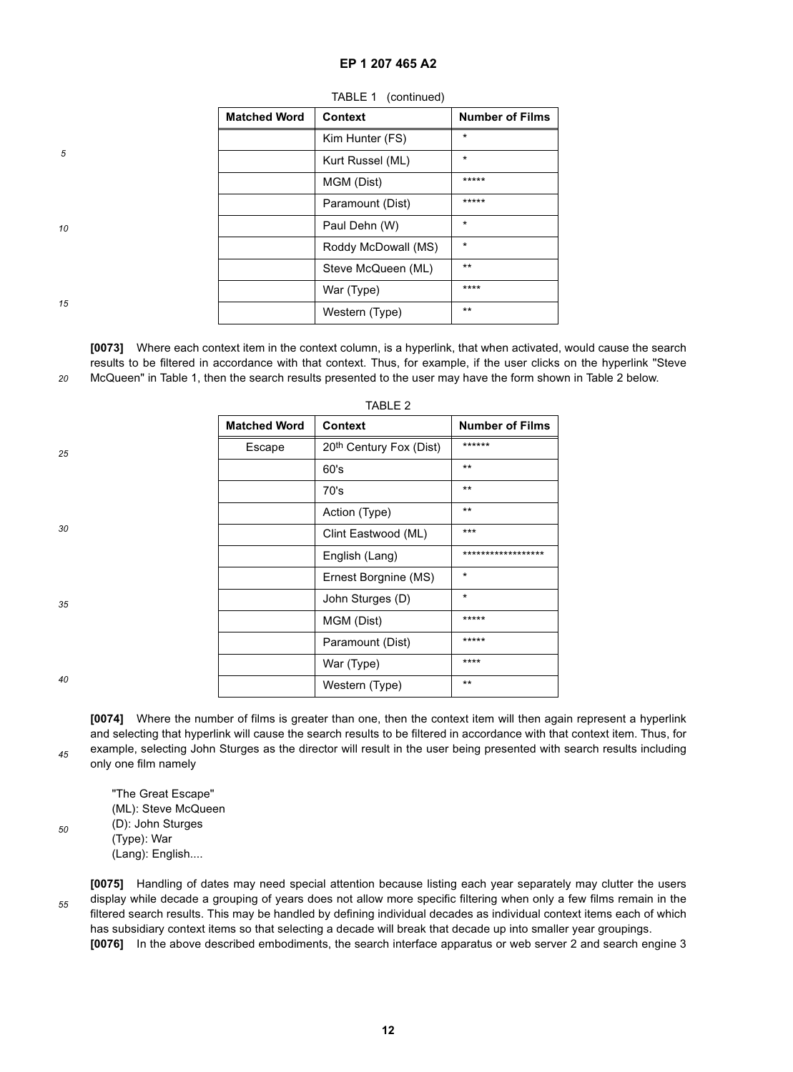| <b>Matched Word</b> | Context             | <b>Number of Films</b> |
|---------------------|---------------------|------------------------|
|                     | Kim Hunter (FS)     | $\star$                |
|                     | Kurt Russel (ML)    | $\star$                |
|                     | MGM (Dist)          | *****                  |
|                     | Paramount (Dist)    | *****                  |
|                     | Paul Dehn (W)       | *                      |
|                     | Roddy McDowall (MS) | $\star$                |
|                     | Steve McQueen (ML)  | $***$                  |
|                     | War (Type)          | ****                   |
|                     | Western (Type)      | $***$                  |

| TABLE 1 | (continued) |
|---------|-------------|
|---------|-------------|

*10*

*5*

*15*

*25*

*30*

*20* **[0073]** Where each context item in the context column, is a hyperlink, that when activated, would cause the search results to be filtered in accordance with that context. Thus, for example, if the user clicks on the hyperlink "Steve McQueen" in Table 1, then the search results presented to the user may have the form shown in Table 2 below.

|                     | IABLE Z                             |                        |
|---------------------|-------------------------------------|------------------------|
| <b>Matched Word</b> | Context                             | <b>Number of Films</b> |
| Escape              | 20 <sup>th</sup> Century Fox (Dist) | ******                 |
|                     | 60's                                | $***$                  |
|                     | 70's                                | $***$                  |
|                     | Action (Type)                       | $***$                  |
|                     | Clint Eastwood (ML)                 | ***                    |
|                     | English (Lang)                      | ******************     |
|                     | Ernest Borgnine (MS)                | $\star$                |
|                     | John Sturges (D)                    | $\star$                |
|                     | MGM (Dist)                          | *****                  |
|                     | Paramount (Dist)                    | *****                  |
|                     | War (Type)                          | ****                   |
|                     | Western (Type)                      | $***$                  |

 $TAP$ 

*40*

*45*

*50*

*35*

**[0074]** Where the number of films is greater than one, then the context item will then again represent a hyperlink and selecting that hyperlink will cause the search results to be filtered in accordance with that context item. Thus, for example, selecting John Sturges as the director will result in the user being presented with search results including only one film namely

"The Great Escape" (ML): Steve McQueen (D): John Sturges (Type): War (Lang): English....

*55*

**[0075]** Handling of dates may need special attention because listing each year separately may clutter the users display while decade a grouping of years does not allow more specific filtering when only a few films remain in the filtered search results. This may be handled by defining individual decades as individual context items each of which has subsidiary context items so that selecting a decade will break that decade up into smaller year groupings. **[0076]** In the above described embodiments, the search interface apparatus or web server 2 and search engine 3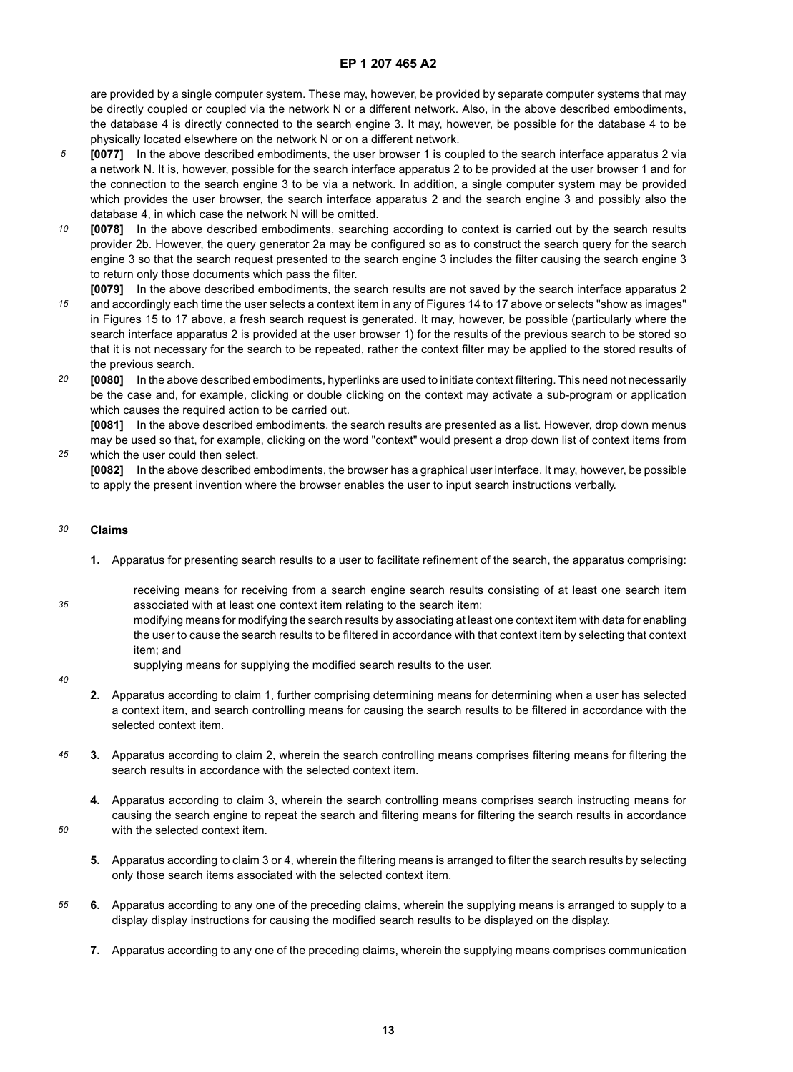are provided by a single computer system. These may, however, be provided by separate computer systems that may be directly coupled or coupled via the network N or a different network. Also, in the above described embodiments, the database 4 is directly connected to the search engine 3. It may, however, be possible for the database 4 to be physically located elsewhere on the network N or on a different network.

- *5* **[0077]** In the above described embodiments, the user browser 1 is coupled to the search interface apparatus 2 via a network N. It is, however, possible for the search interface apparatus 2 to be provided at the user browser 1 and for the connection to the search engine 3 to be via a network. In addition, a single computer system may be provided which provides the user browser, the search interface apparatus 2 and the search engine 3 and possibly also the database 4, in which case the network N will be omitted.
- *10* **[0078]** In the above described embodiments, searching according to context is carried out by the search results provider 2b. However, the query generator 2a may be configured so as to construct the search query for the search engine 3 so that the search request presented to the search engine 3 includes the filter causing the search engine 3 to return only those documents which pass the filter.
- *15* **[0079]** In the above described embodiments, the search results are not saved by the search interface apparatus 2 and accordingly each time the user selects a context item in any of Figures 14 to 17 above or selects "show as images" in Figures 15 to 17 above, a fresh search request is generated. It may, however, be possible (particularly where the search interface apparatus 2 is provided at the user browser 1) for the results of the previous search to be stored so that it is not necessary for the search to be repeated, rather the context filter may be applied to the stored results of the previous search.
- *20* **[0080]** In the above described embodiments, hyperlinks are used to initiate context filtering. This need not necessarily be the case and, for example, clicking or double clicking on the context may activate a sub-program or application which causes the required action to be carried out.

**[0081]** In the above described embodiments, the search results are presented as a list. However, drop down menus may be used so that, for example, clicking on the word "context" would present a drop down list of context items from which the user could then select.

**[0082]** In the above described embodiments, the browser has a graphical user interface. It may, however, be possible to apply the present invention where the browser enables the user to input search instructions verbally.

#### *30* **Claims**

*25*

**1.** Apparatus for presenting search results to a user to facilitate refinement of the search, the apparatus comprising:

receiving means for receiving from a search engine search results consisting of at least one search item associated with at least one context item relating to the search item;

modifying means for modifying the search results by associating at least one context item with data for enabling the user to cause the search results to be filtered in accordance with that context item by selecting that context item; and

supplying means for supplying the modified search results to the user.

*40*

*50*

*35*

- **2.** Apparatus according to claim 1, further comprising determining means for determining when a user has selected a context item, and search controlling means for causing the search results to be filtered in accordance with the selected context item.
- *45* **3.** Apparatus according to claim 2, wherein the search controlling means comprises filtering means for filtering the search results in accordance with the selected context item.
	- **4.** Apparatus according to claim 3, wherein the search controlling means comprises search instructing means for causing the search engine to repeat the search and filtering means for filtering the search results in accordance with the selected context item.
	- **5.** Apparatus according to claim 3 or 4, wherein the filtering means is arranged to filter the search results by selecting only those search items associated with the selected context item.
- *55* **6.** Apparatus according to any one of the preceding claims, wherein the supplying means is arranged to supply to a display display instructions for causing the modified search results to be displayed on the display.
	- **7.** Apparatus according to any one of the preceding claims, wherein the supplying means comprises communication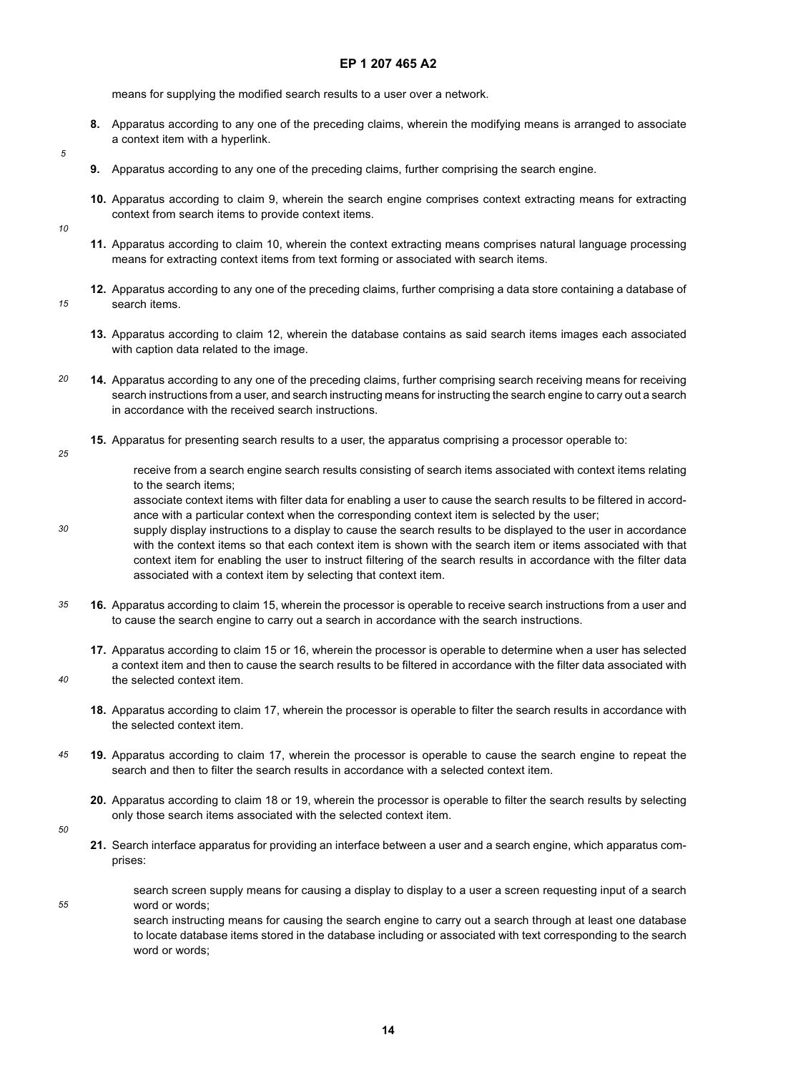means for supplying the modified search results to a user over a network.

- **8.** Apparatus according to any one of the preceding claims, wherein the modifying means is arranged to associate a context item with a hyperlink.
- **9.** Apparatus according to any one of the preceding claims, further comprising the search engine.
- **10.** Apparatus according to claim 9, wherein the search engine comprises context extracting means for extracting context from search items to provide context items.
- *10*

*5*

- **11.** Apparatus according to claim 10, wherein the context extracting means comprises natural language processing means for extracting context items from text forming or associated with search items.
- *15* **12.** Apparatus according to any one of the preceding claims, further comprising a data store containing a database of search items.
	- **13.** Apparatus according to claim 12, wherein the database contains as said search items images each associated with caption data related to the image.
- *20* **14.** Apparatus according to any one of the preceding claims, further comprising search receiving means for receiving search instructions from a user, and search instructing means for instructing the search engine to carry out a search in accordance with the received search instructions.
	- **15.** Apparatus for presenting search results to a user, the apparatus comprising a processor operable to:
- *25*

receive from a search engine search results consisting of search items associated with context items relating to the search items;

associate context items with filter data for enabling a user to cause the search results to be filtered in accordance with a particular context when the corresponding context item is selected by the user;

*30* supply display instructions to a display to cause the search results to be displayed to the user in accordance with the context items so that each context item is shown with the search item or items associated with that context item for enabling the user to instruct filtering of the search results in accordance with the filter data associated with a context item by selecting that context item.

- *35* **16.** Apparatus according to claim 15, wherein the processor is operable to receive search instructions from a user and to cause the search engine to carry out a search in accordance with the search instructions.
	- **17.** Apparatus according to claim 15 or 16, wherein the processor is operable to determine when a user has selected a context item and then to cause the search results to be filtered in accordance with the filter data associated with the selected context item.
	- **18.** Apparatus according to claim 17, wherein the processor is operable to filter the search results in accordance with the selected context item.
- *45* **19.** Apparatus according to claim 17, wherein the processor is operable to cause the search engine to repeat the search and then to filter the search results in accordance with a selected context item.
	- **20.** Apparatus according to claim 18 or 19, wherein the processor is operable to filter the search results by selecting only those search items associated with the selected context item.
- *50*

*55*

*40*

**21.** Search interface apparatus for providing an interface between a user and a search engine, which apparatus comprises:

search screen supply means for causing a display to display to a user a screen requesting input of a search word or words;

search instructing means for causing the search engine to carry out a search through at least one database to locate database items stored in the database including or associated with text corresponding to the search word or words;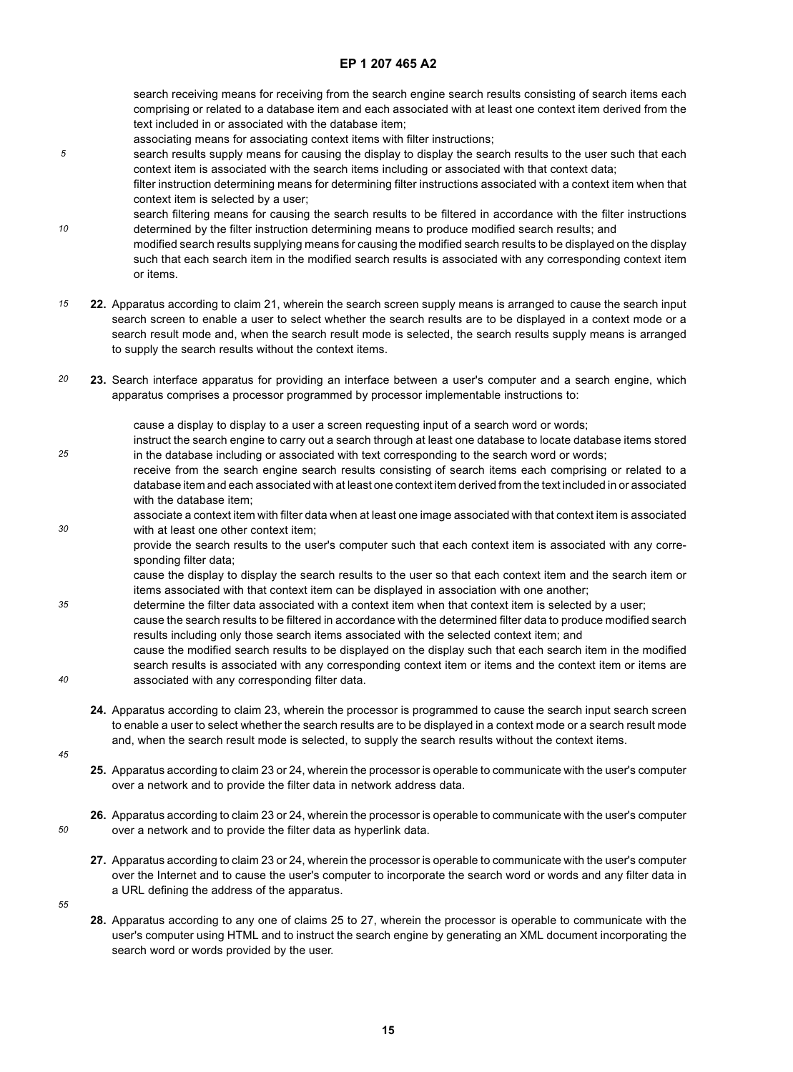search receiving means for receiving from the search engine search results consisting of search items each comprising or related to a database item and each associated with at least one context item derived from the text included in or associated with the database item;

- associating means for associating context items with filter instructions;
- search results supply means for causing the display to display the search results to the user such that each context item is associated with the search items including or associated with that context data;
	- filter instruction determining means for determining filter instructions associated with a context item when that context item is selected by a user;

search filtering means for causing the search results to be filtered in accordance with the filter instructions determined by the filter instruction determining means to produce modified search results; and

- modified search results supplying means for causing the modified search results to be displayed on the display such that each search item in the modified search results is associated with any corresponding context item or items.
- *15* **22.** Apparatus according to claim 21, wherein the search screen supply means is arranged to cause the search input search screen to enable a user to select whether the search results are to be displayed in a context mode or a search result mode and, when the search result mode is selected, the search results supply means is arranged to supply the search results without the context items.
- *20* **23.** Search interface apparatus for providing an interface between a user's computer and a search engine, which apparatus comprises a processor programmed by processor implementable instructions to:

cause a display to display to a user a screen requesting input of a search word or words;

- instruct the search engine to carry out a search through at least one database to locate database items stored in the database including or associated with text corresponding to the search word or words;
- receive from the search engine search results consisting of search items each comprising or related to a database item and each associated with at least one context item derived from the text included in or associated with the database item;
- *30* associate a context item with filter data when at least one image associated with that context item is associated with at least one other context item:
	- provide the search results to the user's computer such that each context item is associated with any corresponding filter data;

cause the display to display the search results to the user so that each context item and the search item or items associated with that context item can be displayed in association with one another;

- *35 40* determine the filter data associated with a context item when that context item is selected by a user; cause the search results to be filtered in accordance with the determined filter data to produce modified search results including only those search items associated with the selected context item; and cause the modified search results to be displayed on the display such that each search item in the modified search results is associated with any corresponding context item or items and the context item or items are associated with any corresponding filter data.
	- **24.** Apparatus according to claim 23, wherein the processor is programmed to cause the search input search screen to enable a user to select whether the search results are to be displayed in a context mode or a search result mode and, when the search result mode is selected, to supply the search results without the context items.
- *45*

*5*

*10*

*25*

- **25.** Apparatus according to claim 23 or 24, wherein the processor is operable to communicate with the user's computer over a network and to provide the filter data in network address data.
- **26.** Apparatus according to claim 23 or 24, wherein the processor is operable to communicate with the user's computer over a network and to provide the filter data as hyperlink data.
	- **27.** Apparatus according to claim 23 or 24, wherein the processor is operable to communicate with the user's computer over the Internet and to cause the user's computer to incorporate the search word or words and any filter data in a URL defining the address of the apparatus.
- *55*

*50*

**28.** Apparatus according to any one of claims 25 to 27, wherein the processor is operable to communicate with the user's computer using HTML and to instruct the search engine by generating an XML document incorporating the search word or words provided by the user.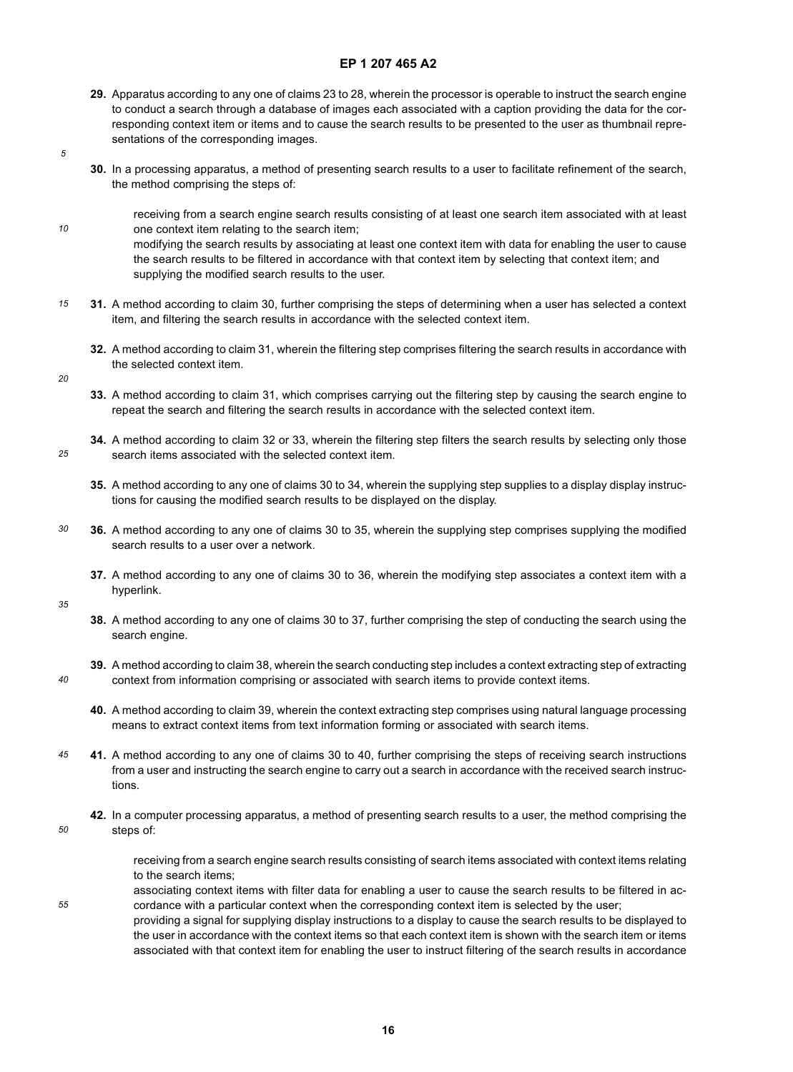- **29.** Apparatus according to any one of claims 23 to 28, wherein the processor is operable to instruct the search engine to conduct a search through a database of images each associated with a caption providing the data for the corresponding context item or items and to cause the search results to be presented to the user as thumbnail representations of the corresponding images.
- *5*

*10*

- **30.** In a processing apparatus, a method of presenting search results to a user to facilitate refinement of the search, the method comprising the steps of:
	- receiving from a search engine search results consisting of at least one search item associated with at least one context item relating to the search item; modifying the search results by associating at least one context item with data for enabling the user to cause

the search results to be filtered in accordance with that context item by selecting that context item; and supplying the modified search results to the user.

- *15* **31.** A method according to claim 30, further comprising the steps of determining when a user has selected a context item, and filtering the search results in accordance with the selected context item.
	- **32.** A method according to claim 31, wherein the filtering step comprises filtering the search results in accordance with the selected context item.
- *20*

*25*

- **33.** A method according to claim 31, which comprises carrying out the filtering step by causing the search engine to repeat the search and filtering the search results in accordance with the selected context item.
- **34.** A method according to claim 32 or 33, wherein the filtering step filters the search results by selecting only those search items associated with the selected context item.
- **35.** A method according to any one of claims 30 to 34, wherein the supplying step supplies to a display display instructions for causing the modified search results to be displayed on the display.
- *30* **36.** A method according to any one of claims 30 to 35, wherein the supplying step comprises supplying the modified search results to a user over a network.
	- **37.** A method according to any one of claims 30 to 36, wherein the modifying step associates a context item with a hyperlink.

*35*

*40*

- **38.** A method according to any one of claims 30 to 37, further comprising the step of conducting the search using the search engine.
- **39.** A method according to claim 38, wherein the search conducting step includes a context extracting step of extracting context from information comprising or associated with search items to provide context items.
- **40.** A method according to claim 39, wherein the context extracting step comprises using natural language processing means to extract context items from text information forming or associated with search items.
- *45* **41.** A method according to any one of claims 30 to 40, further comprising the steps of receiving search instructions from a user and instructing the search engine to carry out a search in accordance with the received search instructions.
- *50* **42.** In a computer processing apparatus, a method of presenting search results to a user, the method comprising the steps of:

receiving from a search engine search results consisting of search items associated with context items relating to the search items;

*55* associating context items with filter data for enabling a user to cause the search results to be filtered in accordance with a particular context when the corresponding context item is selected by the user; providing a signal for supplying display instructions to a display to cause the search results to be displayed to the user in accordance with the context items so that each context item is shown with the search item or items associated with that context item for enabling the user to instruct filtering of the search results in accordance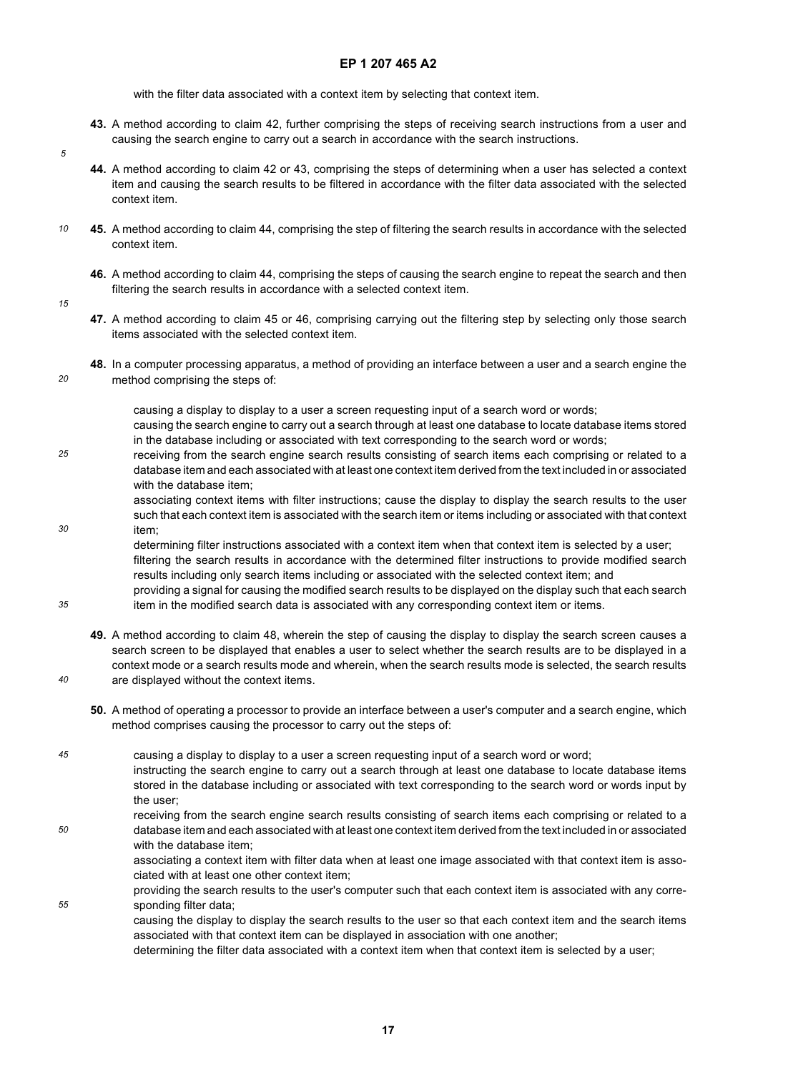with the filter data associated with a context item by selecting that context item.

- **43.** A method according to claim 42, further comprising the steps of receiving search instructions from a user and causing the search engine to carry out a search in accordance with the search instructions.
- **44.** A method according to claim 42 or 43, comprising the steps of determining when a user has selected a context item and causing the search results to be filtered in accordance with the filter data associated with the selected context item.
- *10* **45.** A method according to claim 44, comprising the step of filtering the search results in accordance with the selected context item.
	- **46.** A method according to claim 44, comprising the steps of causing the search engine to repeat the search and then filtering the search results in accordance with a selected context item.
- *15*

*20*

*30*

*35*

*40*

*5*

- **47.** A method according to claim 45 or 46, comprising carrying out the filtering step by selecting only those search items associated with the selected context item.
- **48.** In a computer processing apparatus, a method of providing an interface between a user and a search engine the method comprising the steps of:

causing a display to display to a user a screen requesting input of a search word or words; causing the search engine to carry out a search through at least one database to locate database items stored in the database including or associated with text corresponding to the search word or words;

*25* receiving from the search engine search results consisting of search items each comprising or related to a database item and each associated with at least one context item derived from the text included in or associated with the database item;

> associating context items with filter instructions; cause the display to display the search results to the user such that each context item is associated with the search item or items including or associated with that context item;

> determining filter instructions associated with a context item when that context item is selected by a user; filtering the search results in accordance with the determined filter instructions to provide modified search results including only search items including or associated with the selected context item; and

providing a signal for causing the modified search results to be displayed on the display such that each search item in the modified search data is associated with any corresponding context item or items.

- **49.** A method according to claim 48, wherein the step of causing the display to display the search screen causes a search screen to be displayed that enables a user to select whether the search results are to be displayed in a context mode or a search results mode and wherein, when the search results mode is selected, the search results are displayed without the context items.
- **50.** A method of operating a processor to provide an interface between a user's computer and a search engine, which method comprises causing the processor to carry out the steps of:
- *45 50* causing a display to display to a user a screen requesting input of a search word or word; instructing the search engine to carry out a search through at least one database to locate database items stored in the database including or associated with text corresponding to the search word or words input by the user; receiving from the search engine search results consisting of search items each comprising or related to a
	- database item and each associated with at least one context item derived from the text included in or associated with the database item;

associating a context item with filter data when at least one image associated with that context item is associated with at least one other context item;

*55* providing the search results to the user's computer such that each context item is associated with any corresponding filter data;

> causing the display to display the search results to the user so that each context item and the search items associated with that context item can be displayed in association with one another;

determining the filter data associated with a context item when that context item is selected by a user;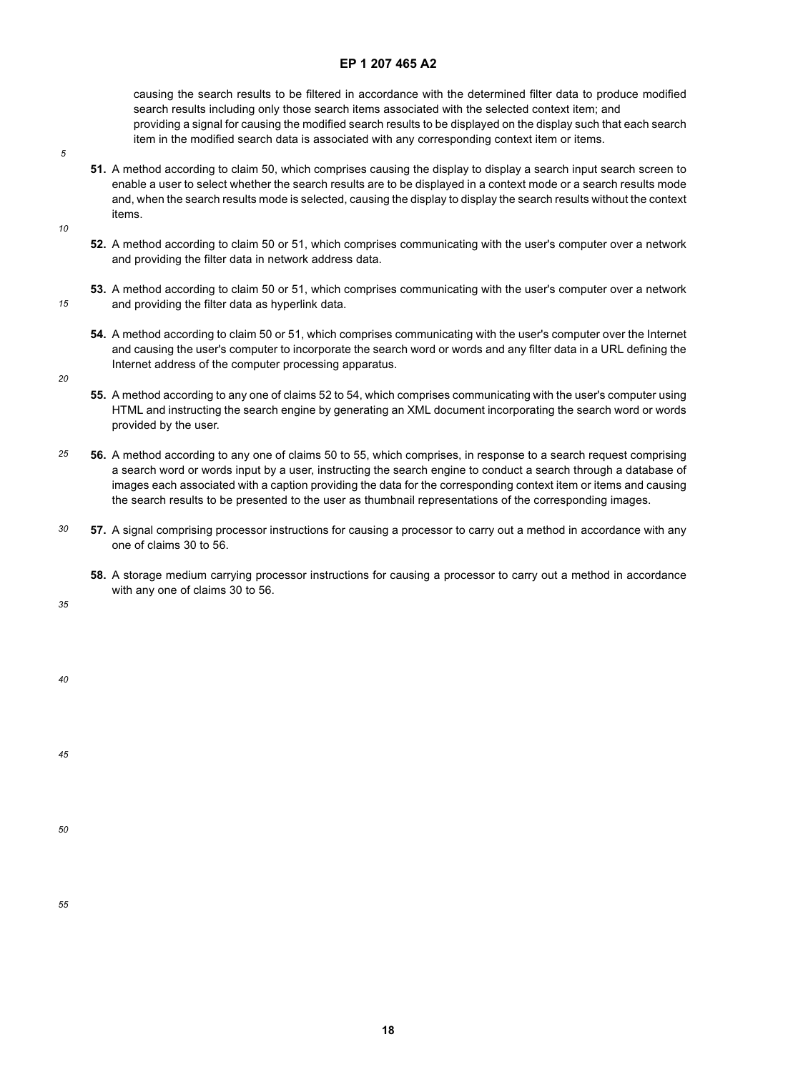causing the search results to be filtered in accordance with the determined filter data to produce modified search results including only those search items associated with the selected context item; and providing a signal for causing the modified search results to be displayed on the display such that each search item in the modified search data is associated with any corresponding context item or items.

- *5*
- **51.** A method according to claim 50, which comprises causing the display to display a search input search screen to enable a user to select whether the search results are to be displayed in a context mode or a search results mode and, when the search results mode is selected, causing the display to display the search results without the context items.

*10*

- **52.** A method according to claim 50 or 51, which comprises communicating with the user's computer over a network and providing the filter data in network address data.
- *15* **53.** A method according to claim 50 or 51, which comprises communicating with the user's computer over a network and providing the filter data as hyperlink data.
	- **54.** A method according to claim 50 or 51, which comprises communicating with the user's computer over the Internet and causing the user's computer to incorporate the search word or words and any filter data in a URL defining the Internet address of the computer processing apparatus.

*20*

- **55.** A method according to any one of claims 52 to 54, which comprises communicating with the user's computer using HTML and instructing the search engine by generating an XML document incorporating the search word or words provided by the user.
- *25* **56.** A method according to any one of claims 50 to 55, which comprises, in response to a search request comprising a search word or words input by a user, instructing the search engine to conduct a search through a database of images each associated with a caption providing the data for the corresponding context item or items and causing the search results to be presented to the user as thumbnail representations of the corresponding images.
- *30* **57.** A signal comprising processor instructions for causing a processor to carry out a method in accordance with any one of claims 30 to 56.
	- **58.** A storage medium carrying processor instructions for causing a processor to carry out a method in accordance with any one of claims 30 to 56.

*35*

*40*

*45*

*50*

*55*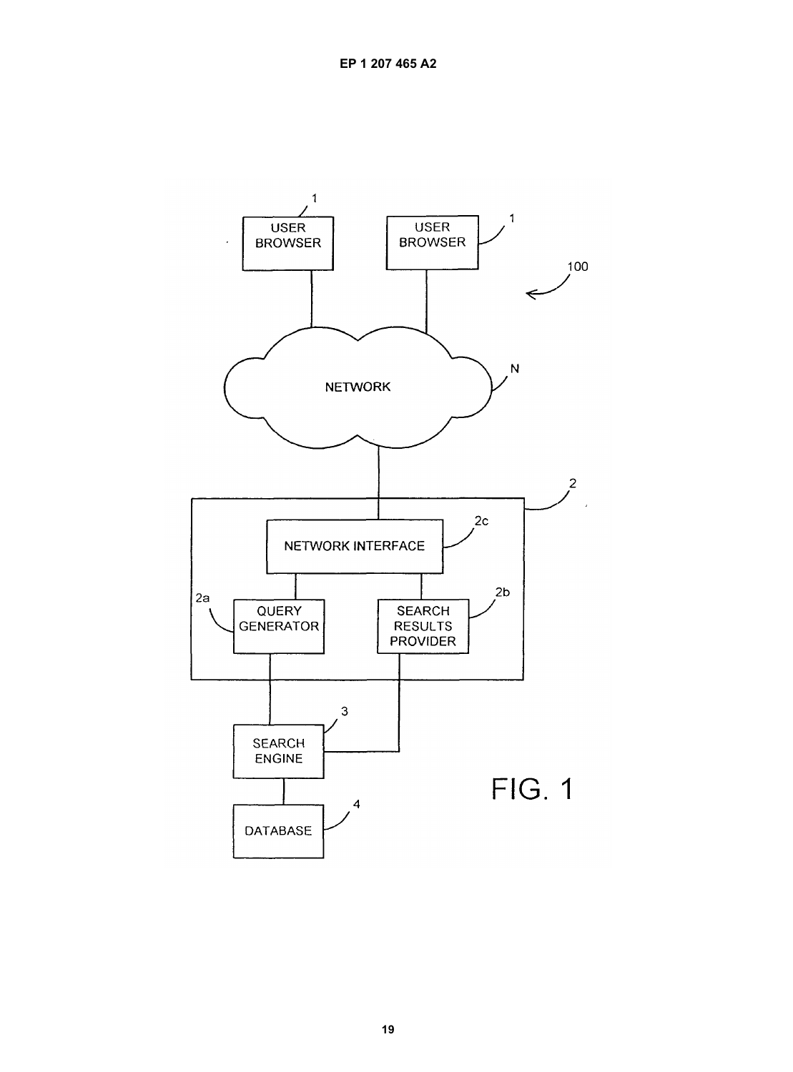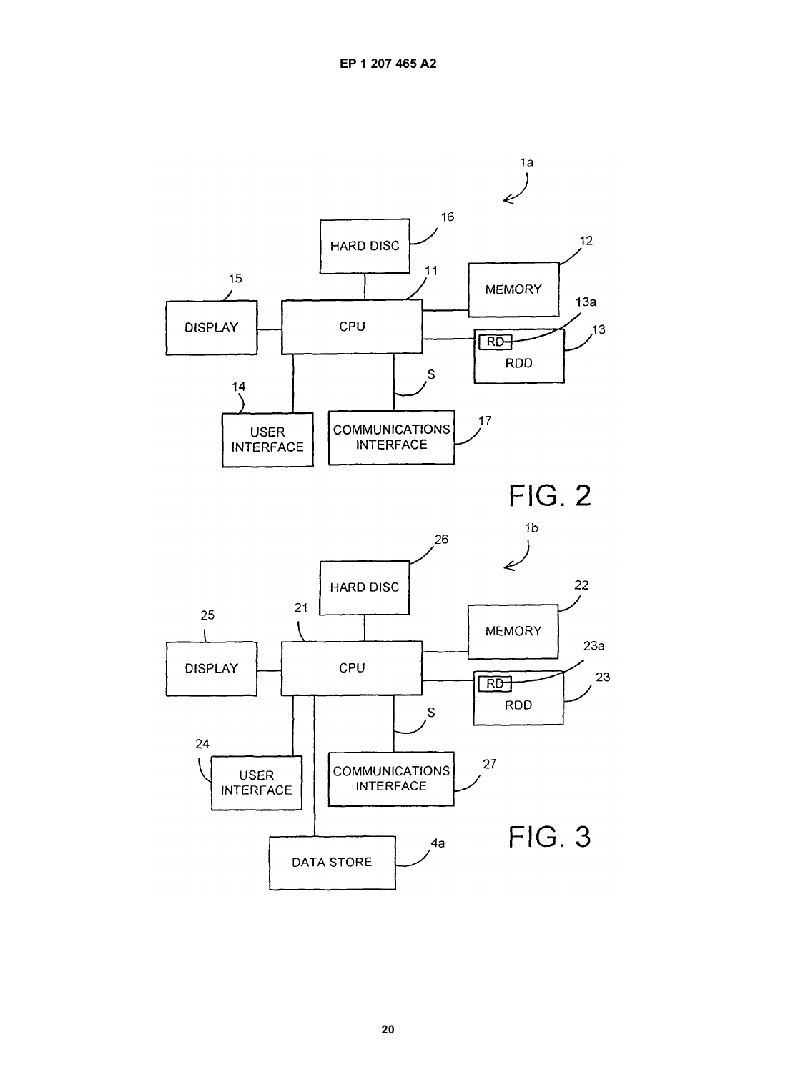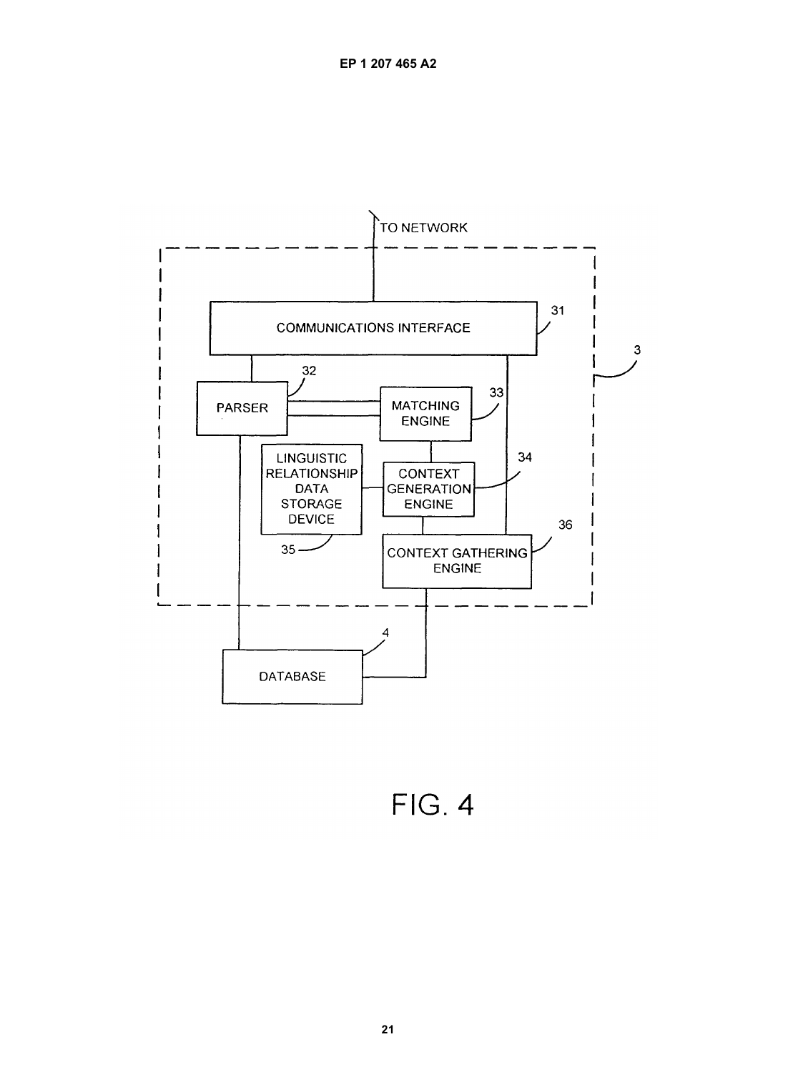

**FIG. 4**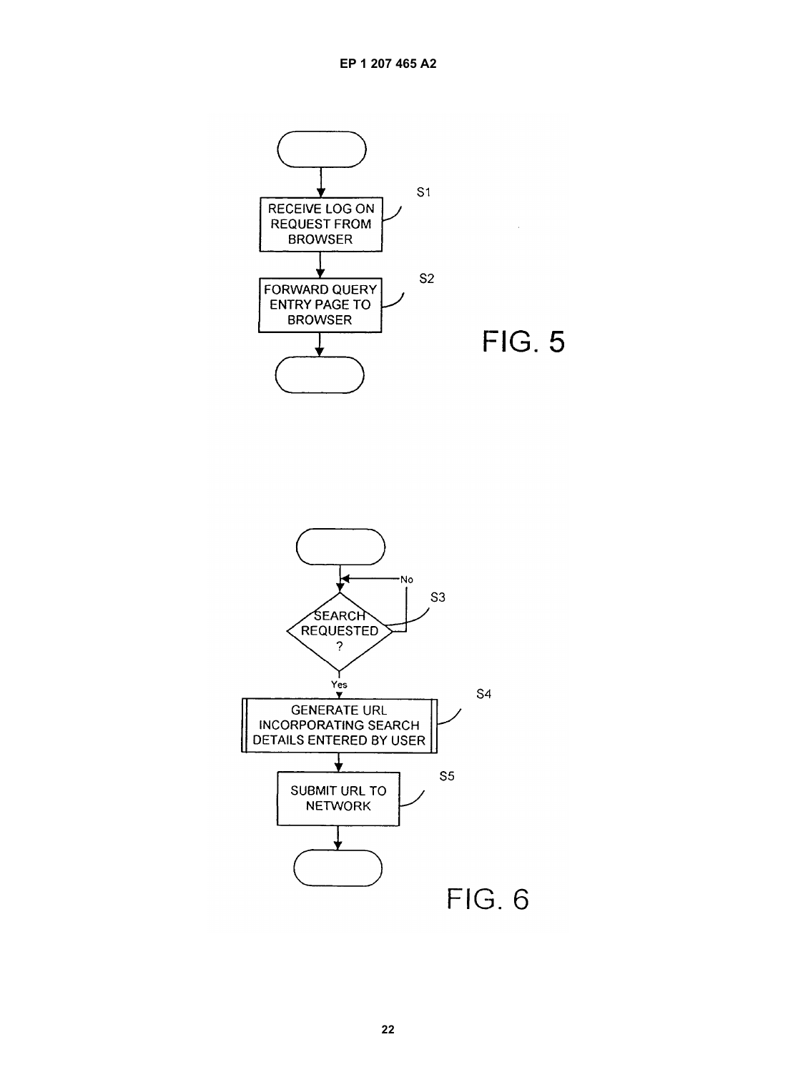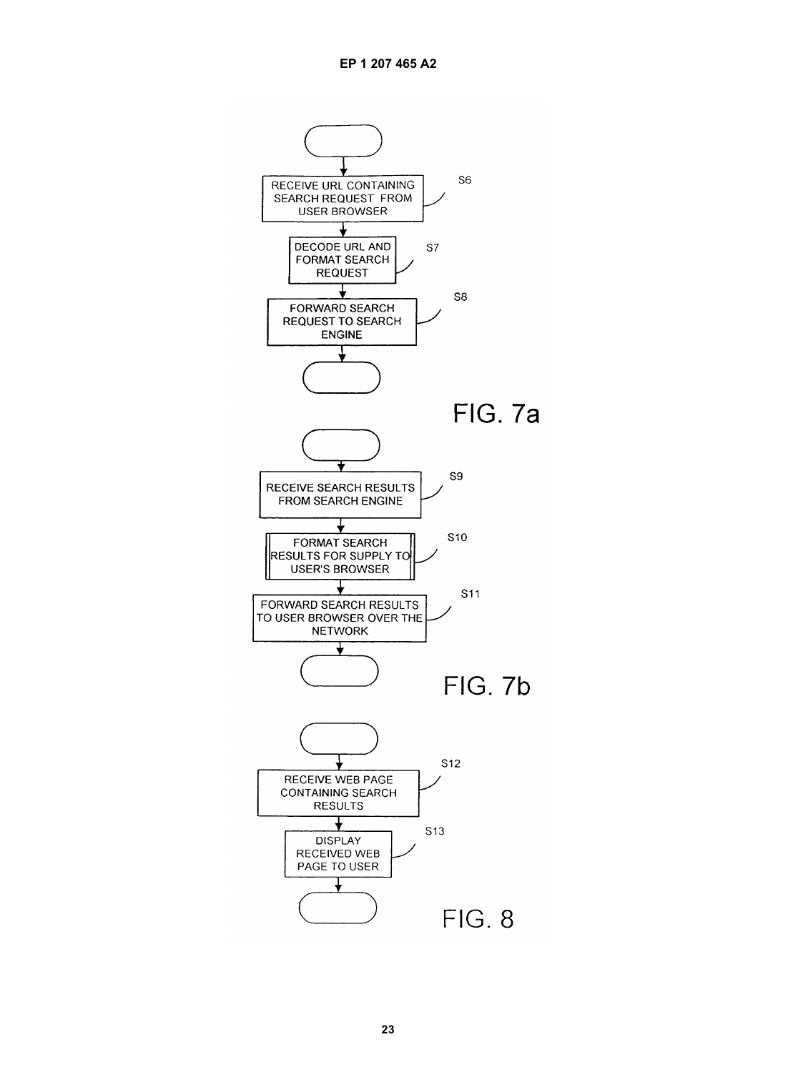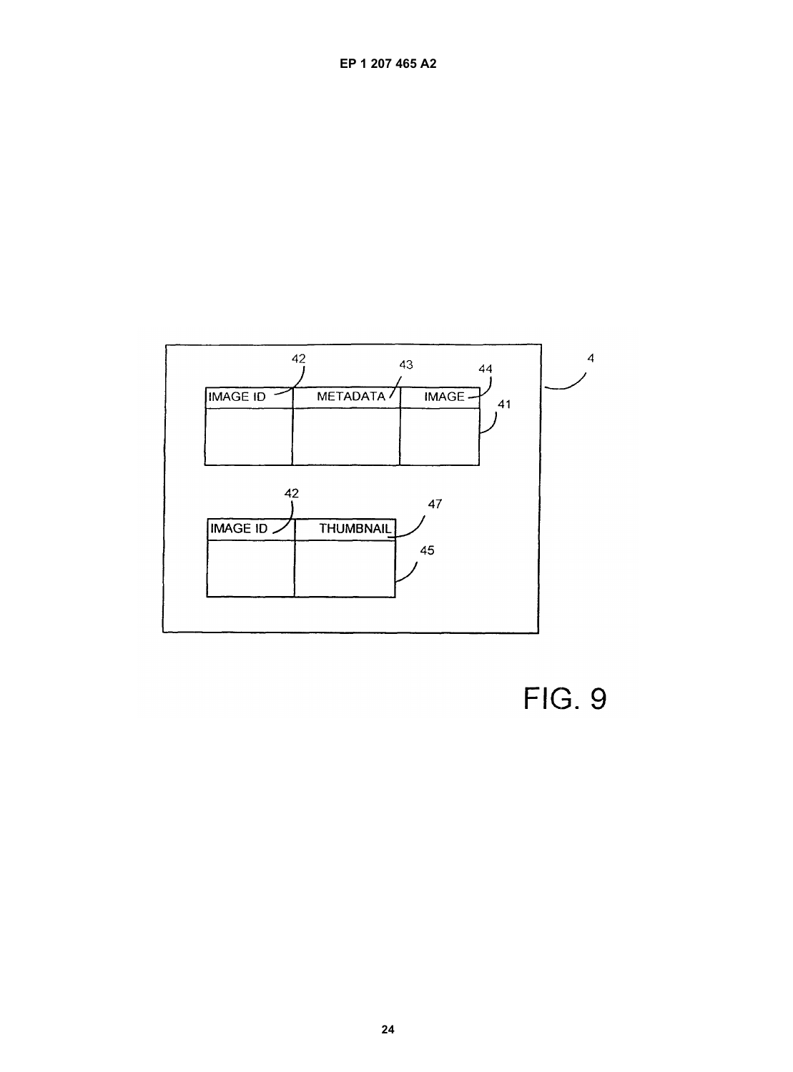

**FIG. 9**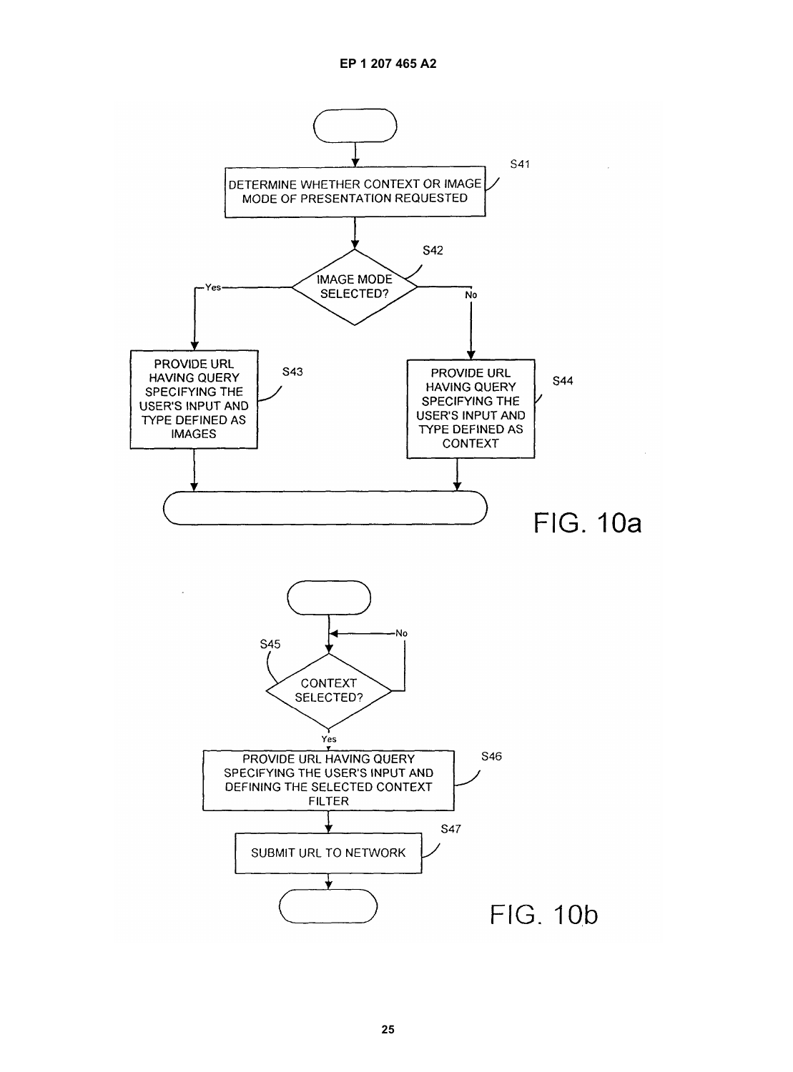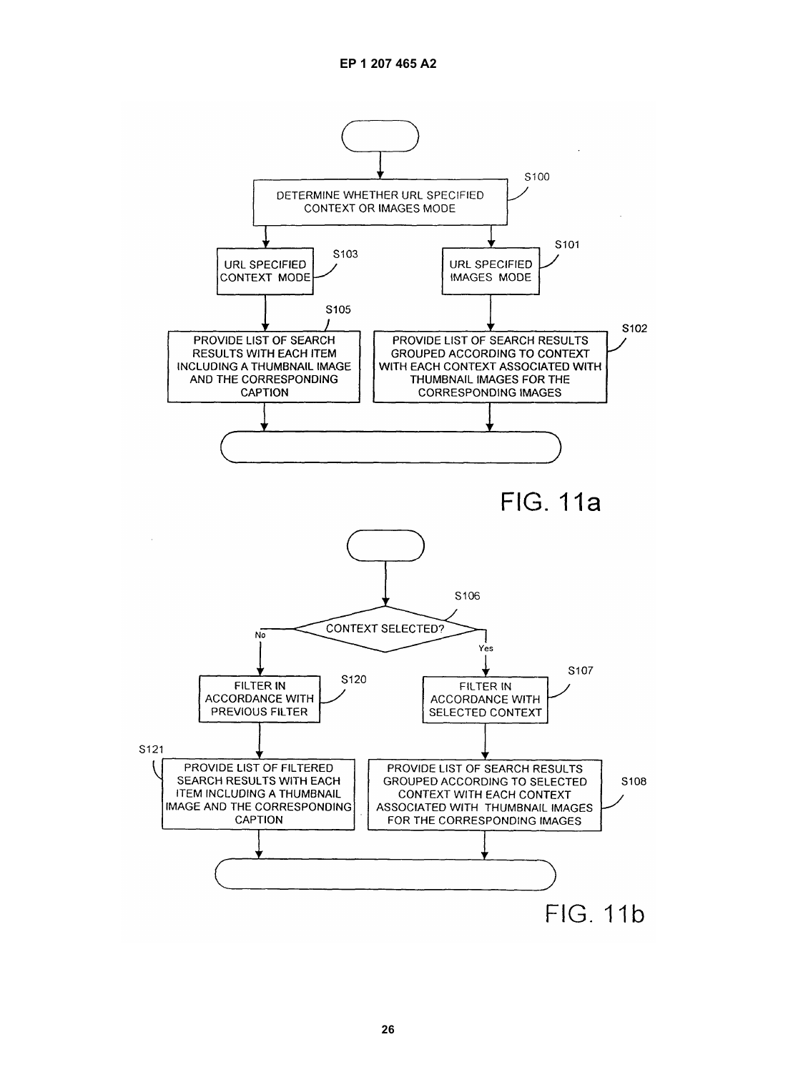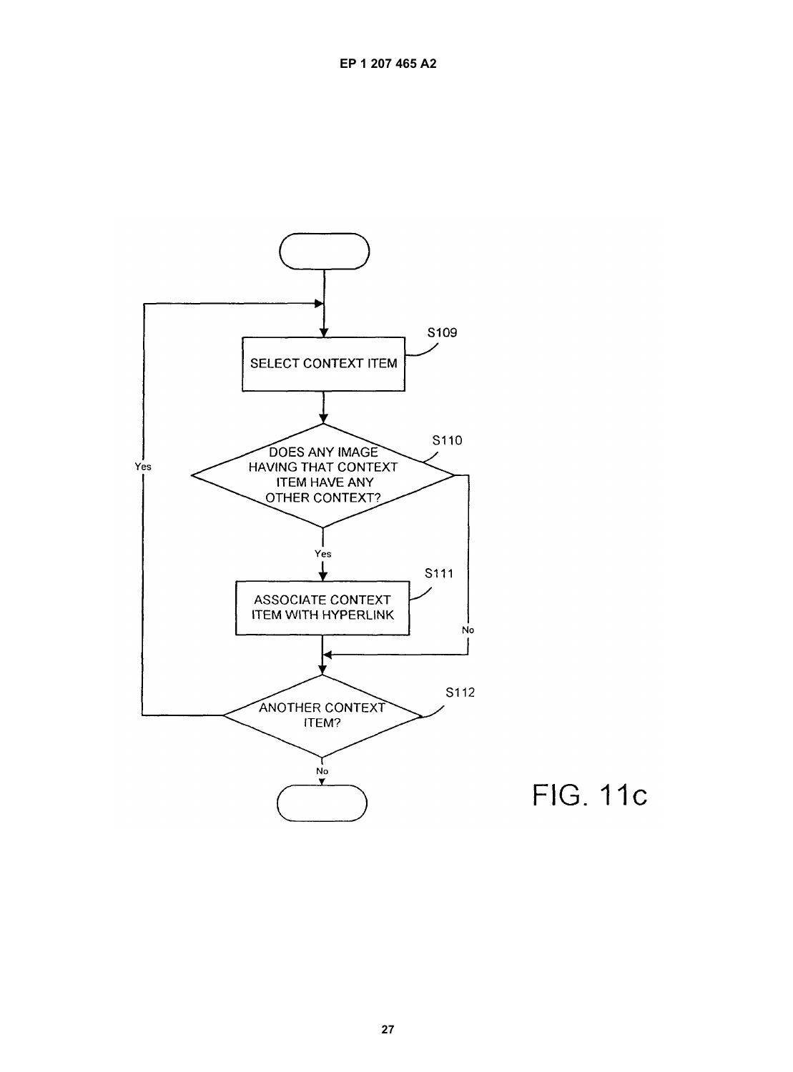

**FIG. 11c**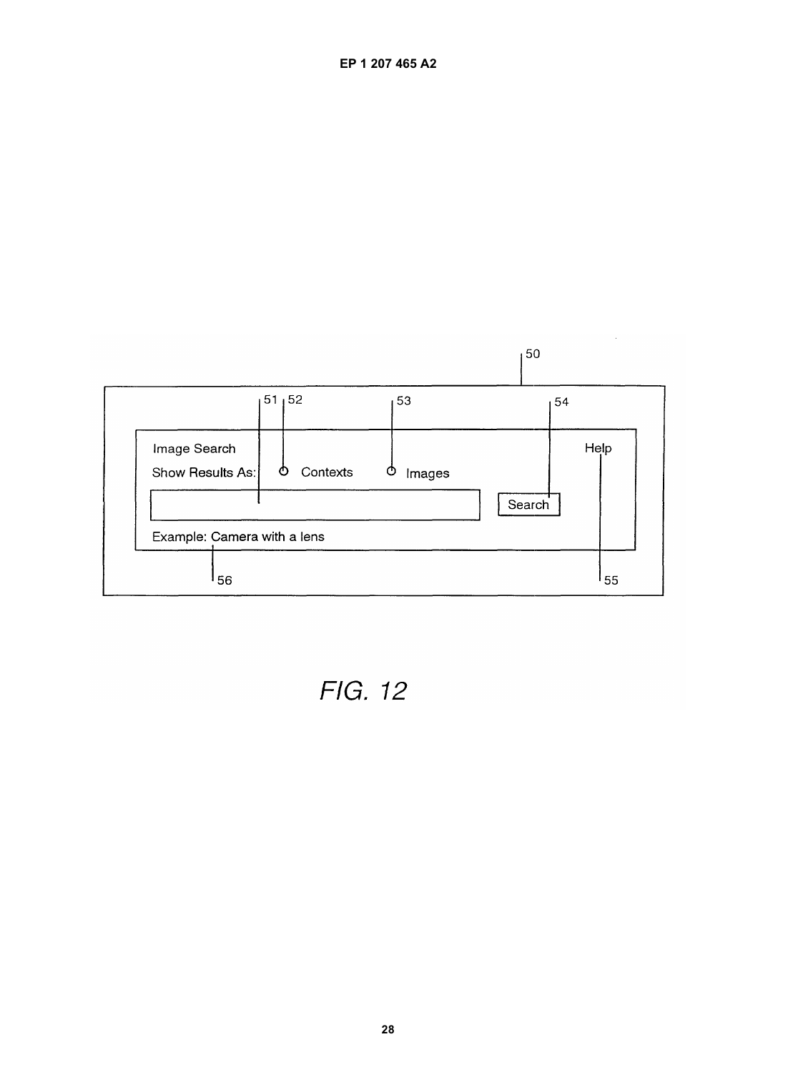|                                  |               | 50                    |      |
|----------------------------------|---------------|-----------------------|------|
|                                  | 51, 52        | 53                    | 54   |
| Image Search<br>Show Results As: | Contexts<br>O | O<br>Images<br>Search | Help |
| Example: Camera with a lens      |               |                       |      |
| 56                               |               |                       | 55 ا |

 $\sim$ 

**EP 1 207 465 A2**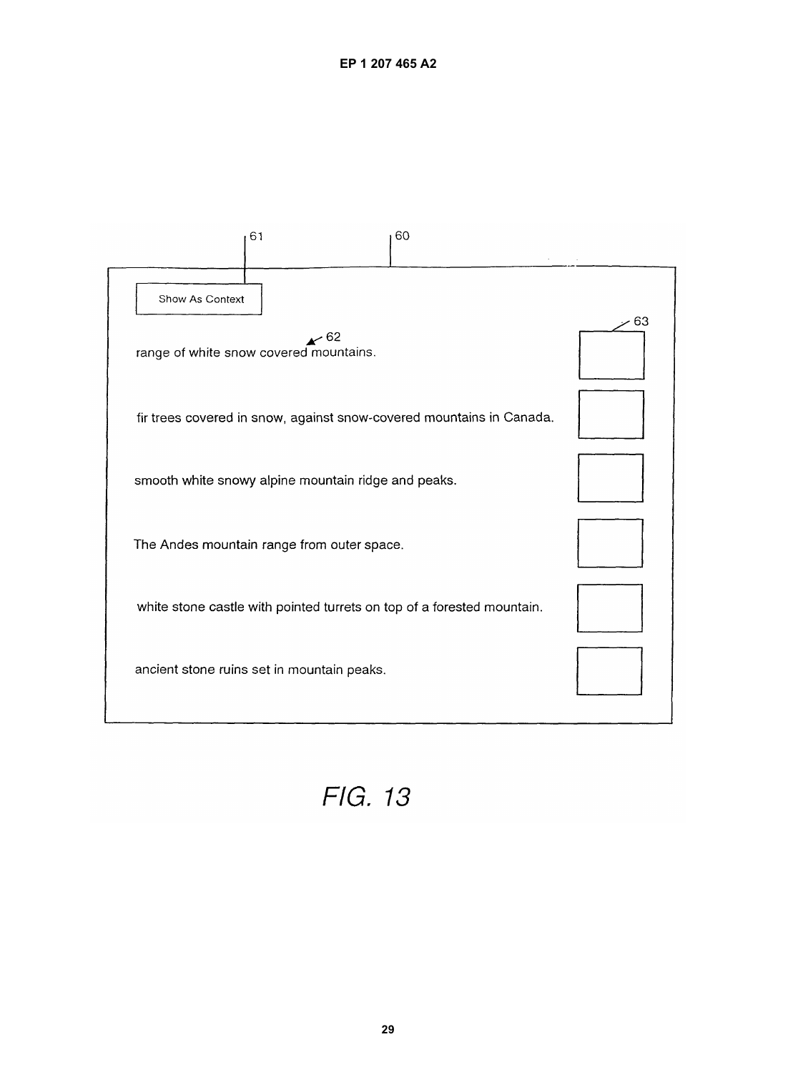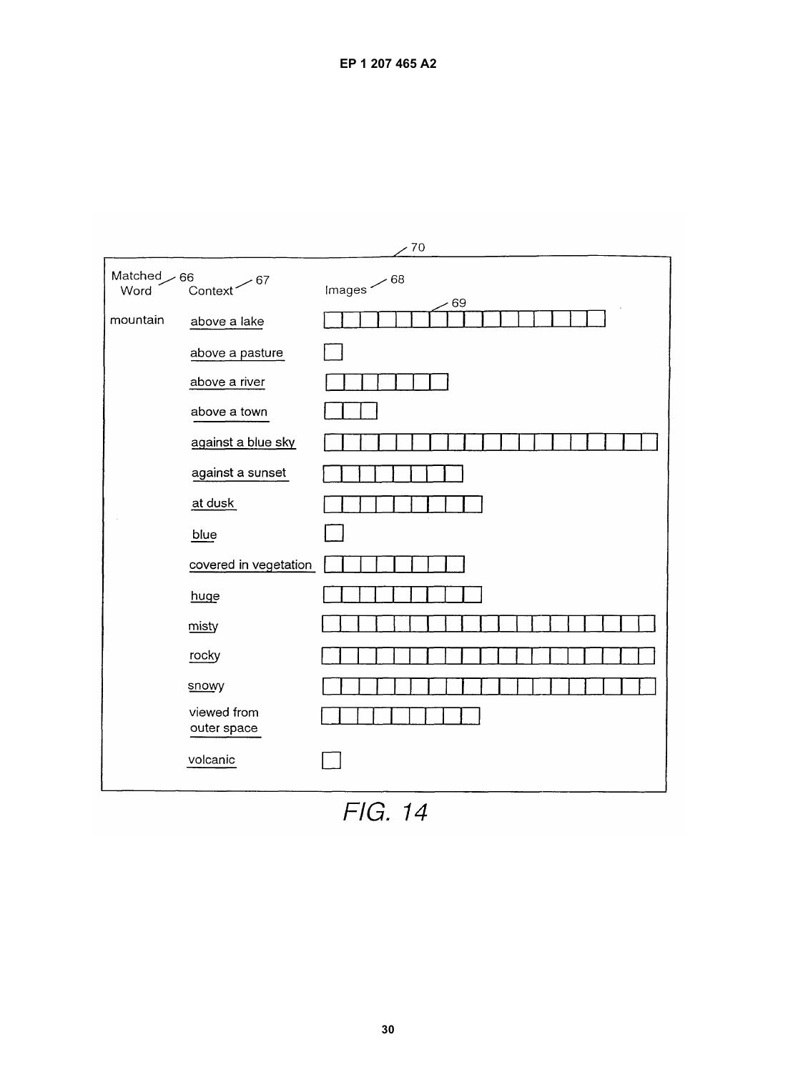| $-70$              |                              |                        |  |
|--------------------|------------------------------|------------------------|--|
| Matched 66<br>Word | - 67<br>Context <sup>®</sup> | Images $\sim$ 68<br>69 |  |
| mountain           | above a lake                 |                        |  |
|                    | above a pasture              |                        |  |
|                    | above a river                |                        |  |
|                    | above a town                 |                        |  |
|                    | against a blue sky           |                        |  |
|                    | against a sunset             |                        |  |
|                    | at dusk                      |                        |  |
|                    | blue                         |                        |  |
|                    | covered in vegetation        |                        |  |
|                    | huge                         |                        |  |
|                    | misty                        |                        |  |
|                    | rocky                        |                        |  |
|                    | snowy                        |                        |  |
|                    | viewed from<br>outer space   |                        |  |
|                    | volcanic                     |                        |  |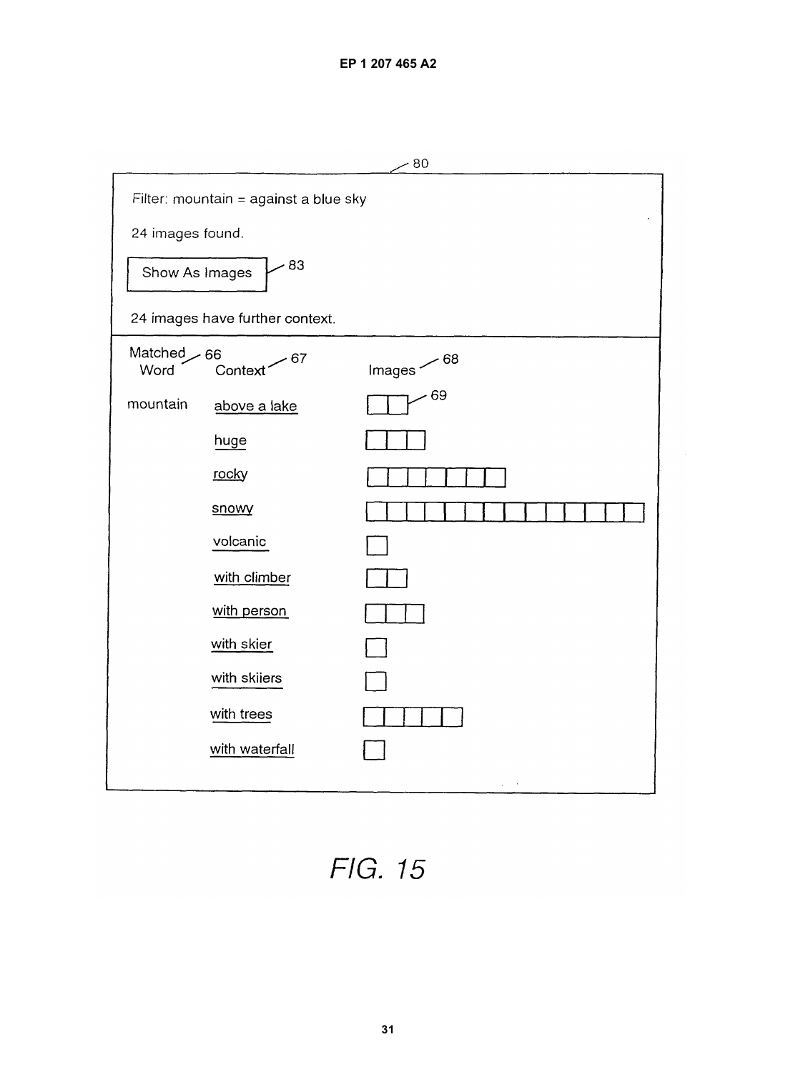